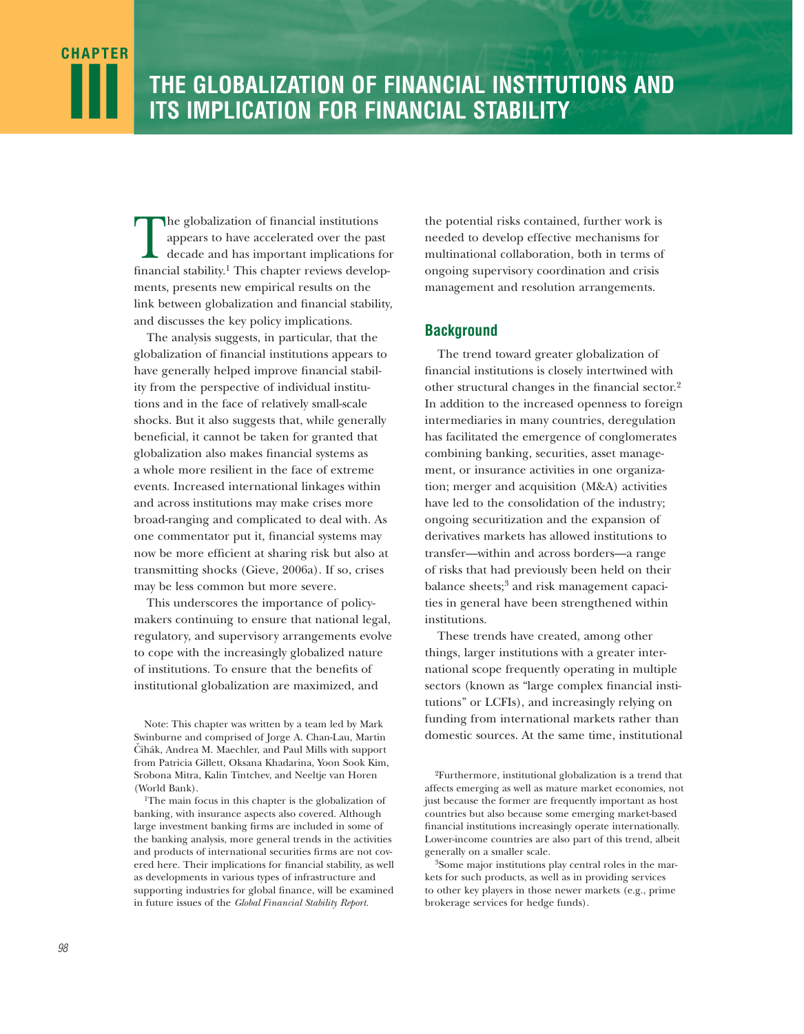The globalization of financial institutions<br>appears to have accelerated over the pas-<br>decade and has important implications f appears to have accelerated over the past decade and has important implications for financial stability.1 This chapter reviews developments, presents new empirical results on the link between globalization and financial stability, and discusses the key policy implications.

The analysis suggests, in particular, that the globalization of financial institutions appears to have generally helped improve financial stability from the perspective of individual institutions and in the face of relatively small-scale shocks. But it also suggests that, while generally beneficial, it cannot be taken for granted that globalization also makes financial systems as a whole more resilient in the face of extreme events. Increased international linkages within and across institutions may make crises more broad-ranging and complicated to deal with. As one commentator put it, financial systems may now be more efficient at sharing risk but also at transmitting shocks (Gieve, 2006a). If so, crises may be less common but more severe.

This underscores the importance of policymakers continuing to ensure that national legal, regulatory, and supervisory arrangements evolve to cope with the increasingly globalized nature of institutions. To ensure that the benefits of institutional globalization are maximized, and

Note: This chapter was written by a team led by Mark Swinburne and comprised of Jorge A. Chan-Lau, Martin Cihák, Andrea M. Maechler, and Paul Mills with support from Patricia Gillett, Oksana Khadarina, Yoon Sook Kim, Srobona Mitra, Kalin Tintchev, and Neeltje van Horen (World Bank).

<sup>1</sup>The main focus in this chapter is the globalization of banking, with insurance aspects also covered. Although large investment banking firms are included in some of the banking analysis, more general trends in the activities and products of international securities firms are not covered here. Their implications for financial stability, as well as developments in various types of infrastructure and supporting industries for global finance, will be examined in future issues of the *Global Financial Stability Report.*

the potential risks contained, further work is needed to develop effective mechanisms for multinational collaboration, both in terms of ongoing supervisory coordination and crisis management and resolution arrangements.

# **Background**

The trend toward greater globalization of financial institutions is closely intertwined with other structural changes in the financial sector.2 In addition to the increased openness to foreign intermediaries in many countries, deregulation has facilitated the emergence of conglomerates combining banking, securities, asset management, or insurance activities in one organization; merger and acquisition (M&A) activities have led to the consolidation of the industry; ongoing securitization and the expansion of derivatives markets has allowed institutions to transfer—within and across borders—a range of risks that had previously been held on their balance sheets;<sup>3</sup> and risk management capacities in general have been strengthened within institutions.

These trends have created, among other things, larger institutions with a greater international scope frequently operating in multiple sectors (known as "large complex financial institutions" or LCFIs), and increasingly relying on funding from international markets rather than domestic sources. At the same time, institutional

<sup>2</sup>Furthermore, institutional globalization is a trend that affects emerging as well as mature market economies, not just because the former are frequently important as host countries but also because some emerging market-based financial institutions increasingly operate internationally. Lower-income countries are also part of this trend, albeit generally on a smaller scale.

<sup>3</sup>Some major institutions play central roles in the markets for such products, as well as in providing services to other key players in those newer markets (e.g., prime brokerage services for hedge funds).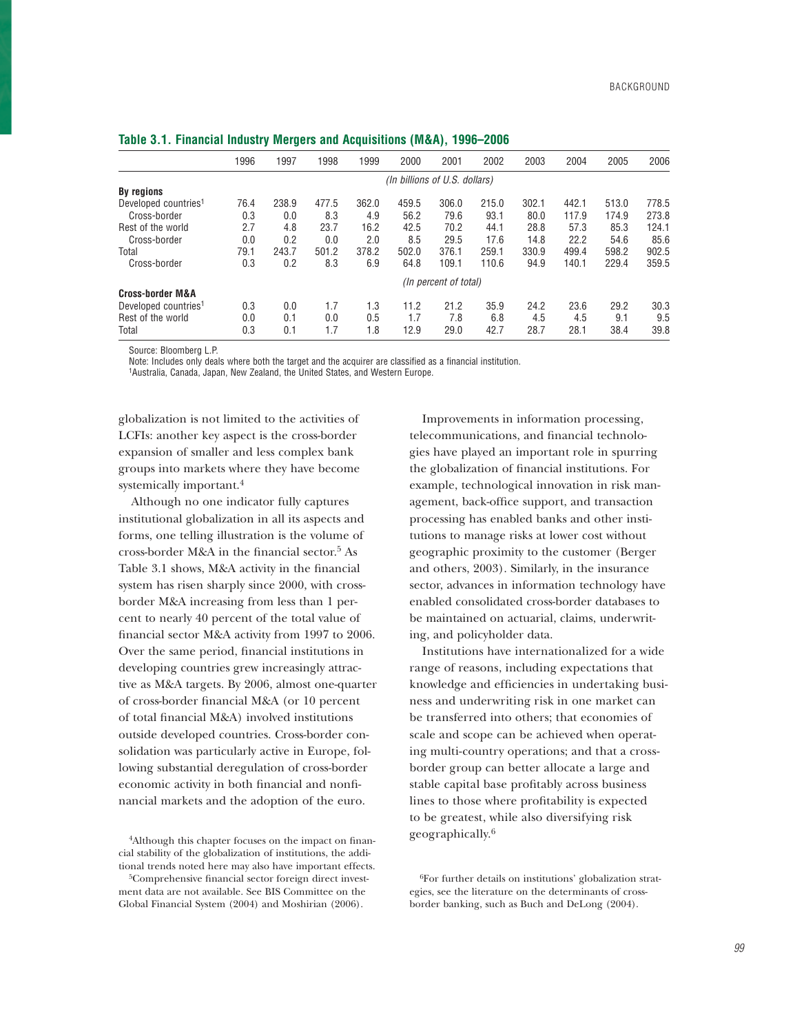|                                  | 1996 | 1997  | 1998  | 1999  | 2000                          | 2001                  | 2002  | 2003  | 2004  | 2005  | 2006  |
|----------------------------------|------|-------|-------|-------|-------------------------------|-----------------------|-------|-------|-------|-------|-------|
|                                  |      |       |       |       | (In billions of U.S. dollars) |                       |       |       |       |       |       |
| By regions                       |      |       |       |       |                               |                       |       |       |       |       |       |
| Developed countries <sup>1</sup> | 76.4 | 238.9 | 477.5 | 362.0 | 459.5                         | 306.0                 | 215.0 | 302.1 | 442.1 | 513.0 | 778.5 |
| Cross-border                     | 0.3  | 0.0   | 8.3   | 4.9   | 56.2                          | 79.6                  | 93.1  | 80.0  | 117.9 | 174.9 | 273.8 |
| Rest of the world                | 2.7  | 4.8   | 23.7  | 16.2  | 42.5                          | 70.2                  | 44.1  | 28.8  | 57.3  | 85.3  | 124.1 |
| Cross-border                     | 0.0  | 0.2   | 0.0   | 2.0   | 8.5                           | 29.5                  | 17.6  | 14.8  | 22.2  | 54.6  | 85.6  |
| Total                            | 79.1 | 243.7 | 501.2 | 378.2 | 502.0                         | 376.1                 | 259.1 | 330.9 | 499.4 | 598.2 | 902.5 |
| Cross-border                     | 0.3  | 0.2   | 8.3   | 6.9   | 64.8                          | 109.1                 | 110.6 | 94.9  | 140.1 | 229.4 | 359.5 |
|                                  |      |       |       |       |                               | (In percent of total) |       |       |       |       |       |
| <b>Cross-border M&amp;A</b>      |      |       |       |       |                               |                       |       |       |       |       |       |
| Developed countries <sup>1</sup> | 0.3  | 0.0   | 1.7   | 1.3   | 11.2                          | 21.2                  | 35.9  | 24.2  | 23.6  | 29.2  | 30.3  |
| Rest of the world                | 0.0  | 0.1   | 0.0   | 0.5   | 1.7                           | 7.8                   | 6.8   | 4.5   | 4.5   | 9.1   | 9.5   |
| Total                            | 0.3  | 0.1   | 1.7   | 1.8   | 12.9                          | 29.0                  | 42.7  | 28.7  | 28.1  | 38.4  | 39.8  |

#### **Table 3.1. Financial Industry Mergers and Acquisitions (M&A), 1996–2006**

Source: Bloomberg L.P.

Note: Includes only deals where both the target and the acquirer are classified as a financial institution. 1Australia, Canada, Japan, New Zealand, the United States, and Western Europe.

globalization is not limited to the activities of LCFIs: another key aspect is the cross-border expansion of smaller and less complex bank groups into markets where they have become systemically important.4

Although no one indicator fully captures institutional globalization in all its aspects and forms, one telling illustration is the volume of cross-border M&A in the financial sector.5 As Table 3.1 shows, M&A activity in the financial system has risen sharply since 2000, with crossborder M&A increasing from less than 1 percent to nearly 40 percent of the total value of financial sector M&A activity from 1997 to 2006. Over the same period, financial institutions in developing countries grew increasingly attractive as M&A targets. By 2006, almost one-quarter of cross-border financial M&A (or 10 percent of total financial M&A) involved institutions outside developed countries. Cross-border consolidation was particularly active in Europe, following substantial deregulation of cross-border economic activity in both financial and nonfinancial markets and the adoption of the euro.

4Although this chapter focuses on the impact on financial stability of the globalization of institutions, the additional trends noted here may also have important effects.

Improvements in information processing, telecommunications, and financial technologies have played an important role in spurring the globalization of financial institutions. For example, technological innovation in risk management, back-office support, and transaction processing has enabled banks and other institutions to manage risks at lower cost without geographic proximity to the customer (Berger and others, 2003). Similarly, in the insurance sector, advances in information technology have enabled consolidated cross-border databases to be maintained on actuarial, claims, underwriting, and policyholder data.

Institutions have internationalized for a wide range of reasons, including expectations that knowledge and efficiencies in undertaking business and underwriting risk in one market can be transferred into others; that economies of scale and scope can be achieved when operating multi-country operations; and that a crossborder group can better allocate a large and stable capital base profitably across business lines to those where profitability is expected to be greatest, while also diversifying risk geographically.6

<sup>5</sup>Comprehensive financial sector foreign direct investment data are not available. See BIS Committee on the Global Financial System (2004) and Moshirian (2006).

<sup>6</sup>For further details on institutions' globalization strategies, see the literature on the determinants of crossborder banking, such as Buch and DeLong (2004).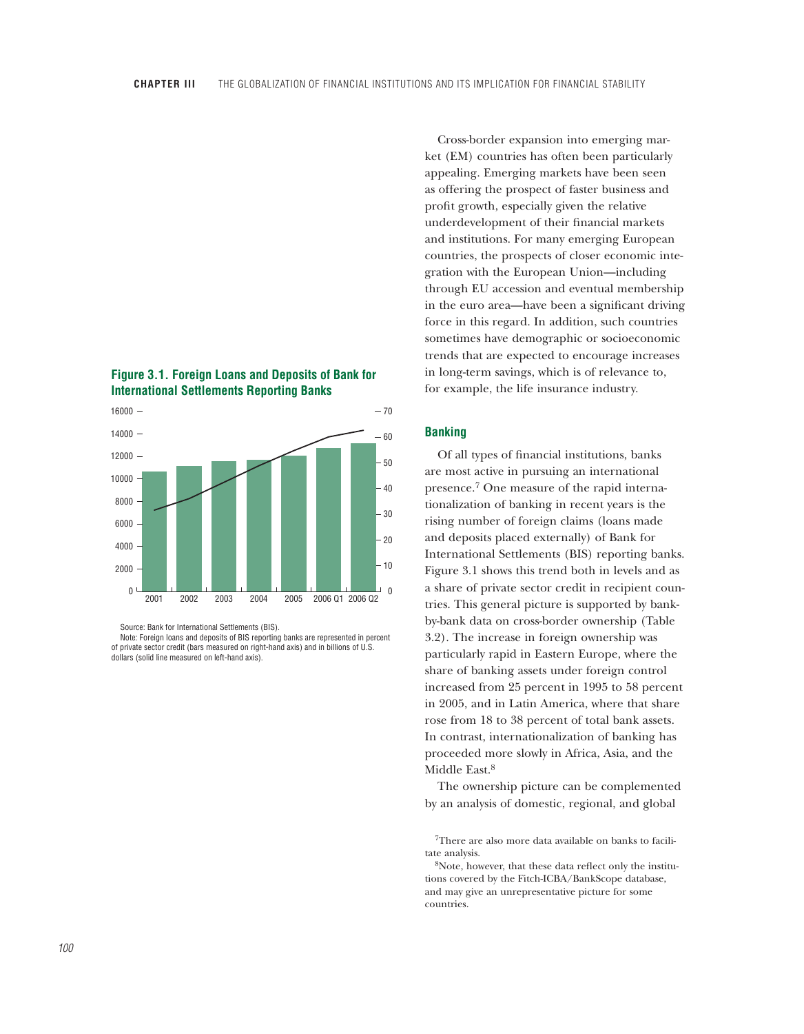



Source: Bank for International Settlements (BIS).

Note: Foreign loans and deposits of BIS reporting banks are represented in percent of private sector credit (bars measured on right-hand axis) and in billions of U.S. dollars (solid line measured on left-hand axis).

Cross-border expansion into emerging market (EM) countries has often been particularly appealing. Emerging markets have been seen as offering the prospect of faster business and profit growth, especially given the relative underdevelopment of their financial markets and institutions. For many emerging European countries, the prospects of closer economic integration with the European Union—including through EU accession and eventual membership in the euro area—have been a significant driving force in this regard. In addition, such countries sometimes have demographic or socioeconomic trends that are expected to encourage increases in long-term savings, which is of relevance to, for example, the life insurance industry.

## **Banking**

Of all types of financial institutions, banks are most active in pursuing an international presence.7 One measure of the rapid internationalization of banking in recent years is the rising number of foreign claims (loans made and deposits placed externally) of Bank for International Settlements (BIS) reporting banks. Figure 3.1 shows this trend both in levels and as a share of private sector credit in recipient countries. This general picture is supported by bankby-bank data on cross-border ownership (Table 3.2). The increase in foreign ownership was particularly rapid in Eastern Europe, where the share of banking assets under foreign control increased from 25 percent in 1995 to 58 percent in 2005, and in Latin America, where that share rose from 18 to 38 percent of total bank assets. In contrast, internationalization of banking has proceeded more slowly in Africa, Asia, and the Middle East.<sup>8</sup>

The ownership picture can be complemented by an analysis of domestic, regional, and global

7There are also more data available on banks to facilitate analysis.

8Note, however, that these data reflect only the institutions covered by the Fitch-ICBA/BankScope database, and may give an unrepresentative picture for some countries.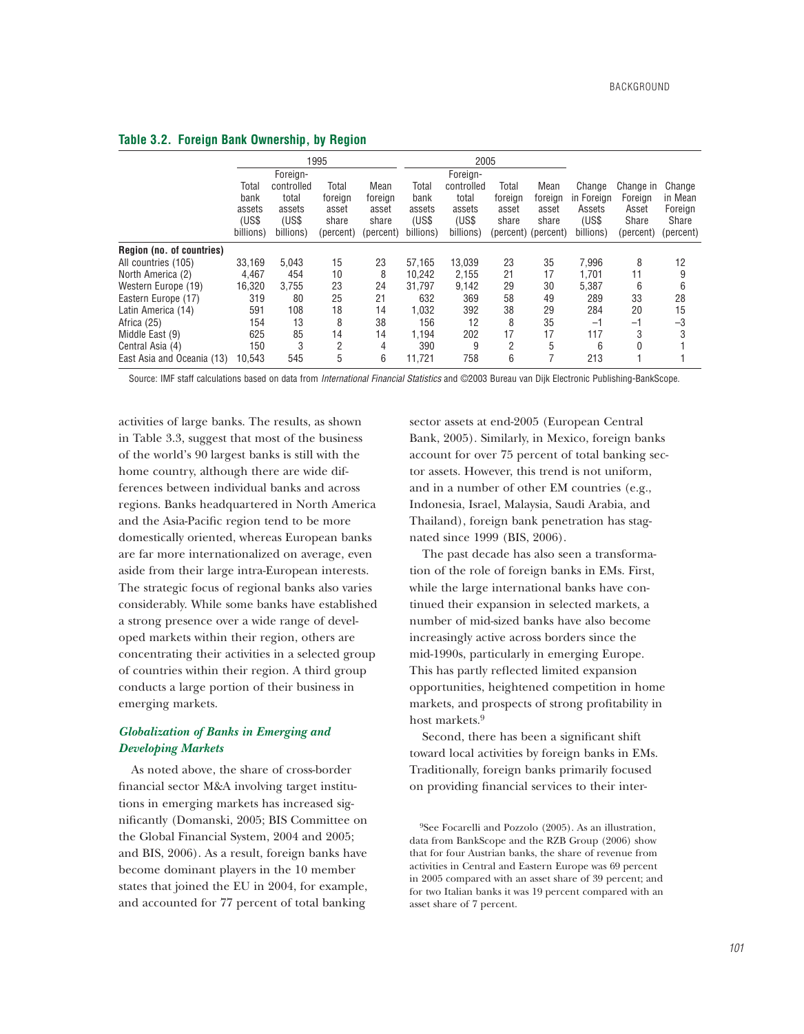|                            | 1995                         |                              |                             |                             | 2005                         |                              |                             |                             |                              |                             |                               |
|----------------------------|------------------------------|------------------------------|-----------------------------|-----------------------------|------------------------------|------------------------------|-----------------------------|-----------------------------|------------------------------|-----------------------------|-------------------------------|
|                            | Foreign-                     |                              |                             | Foreign-                    |                              |                              |                             |                             |                              |                             |                               |
|                            | Total                        | controlled                   | Total                       | Mean                        | Total                        | controlled                   | Total                       | Mean                        | Change                       | Change in                   | Change                        |
|                            | bank                         | total                        | foreign                     | foreign                     | bank                         | total                        | foreign                     | foreign                     | in Foreign                   | Foreign                     | in Mean                       |
|                            | assets<br>(US\$<br>billions) | assets<br>(USS)<br>billions) | asset<br>share<br>(percent) | asset<br>share<br>(percent) | assets<br>(US\$<br>billions) | assets<br>(US\$<br>billions) | asset<br>share<br>(percent) | asset<br>share<br>(percent) | Assets<br>(US\$<br>billions) | Asset<br>Share<br>(percent) | Foreign<br>Share<br>(percent) |
| Region (no. of countries)  |                              |                              |                             |                             |                              |                              |                             |                             |                              |                             |                               |
| All countries (105)        | 33.169                       | 5,043                        | 15                          | 23                          | 57.165                       | 13,039                       | 23                          | 35                          | 7,996                        | 8                           | 12                            |
| North America (2)          | 4,467                        | 454                          | 10                          | 8                           | 10,242                       | 2,155                        | 21                          | 17                          | 1.701                        | 11                          | 9                             |
| Western Europe (19)        | 16,320                       | 3,755                        | 23                          | 24                          | 31,797                       | 9,142                        | 29                          | 30                          | 5,387                        | 6                           | 6                             |
| Eastern Europe (17)        | 319                          | 80                           | 25                          | 21                          | 632                          | 369                          | 58                          | 49                          | 289                          | 33                          | 28                            |
| Latin America (14)         | 591                          | 108                          | 18                          | 14                          | 1,032                        | 392                          | 38                          | 29                          | 284                          | 20                          | 15                            |
| Africa (25)                | 154                          | 13                           | 8                           | 38                          | 156                          | 12                           | 8                           | 35                          | $-1$                         | $-1$                        | $-3$                          |
| Middle East (9)            | 625                          | 85                           | 14                          | 14                          | 1.194                        | 202                          | 17                          | 17                          | 117                          | 3                           | 3                             |
| Central Asia (4)           | 150                          | 3                            | 2                           | 4                           | 390                          | 9                            | 2                           | 5                           | 6                            | 0                           |                               |
| East Asia and Oceania (13) | 10.543                       | 545                          | 5                           | 6                           | 11,721                       | 758                          | 6                           |                             | 213                          |                             |                               |

#### **Table 3.2. Foreign Bank Ownership, by Region**

Source: IMF staff calculations based on data from International Financial Statistics and @2003 Bureau van Dijk Electronic Publishing-BankScope.

activities of large banks. The results, as shown in Table 3.3, suggest that most of the business of the world's 90 largest banks is still with the home country, although there are wide differences between individual banks and across regions. Banks headquartered in North America and the Asia-Pacific region tend to be more domestically oriented, whereas European banks are far more internationalized on average, even aside from their large intra-European interests. The strategic focus of regional banks also varies considerably. While some banks have established a strong presence over a wide range of developed markets within their region, others are concentrating their activities in a selected group of countries within their region. A third group conducts a large portion of their business in emerging markets.

# *Globalization of Banks in Emerging and Developing Markets*

As noted above, the share of cross-border financial sector M&A involving target institutions in emerging markets has increased significantly (Domanski, 2005; BIS Committee on the Global Financial System, 2004 and 2005; and BIS, 2006). As a result, foreign banks have become dominant players in the 10 member states that joined the EU in 2004, for example, and accounted for 77 percent of total banking

sector assets at end-2005 (European Central Bank, 2005). Similarly, in Mexico, foreign banks account for over 75 percent of total banking sector assets. However, this trend is not uniform, and in a number of other EM countries (e.g., Indonesia, Israel, Malaysia, Saudi Arabia, and Thailand), foreign bank penetration has stagnated since 1999 (BIS, 2006).

The past decade has also seen a transformation of the role of foreign banks in EMs. First, while the large international banks have continued their expansion in selected markets, a number of mid-sized banks have also become increasingly active across borders since the mid-1990s, particularly in emerging Europe. This has partly reflected limited expansion opportunities, heightened competition in home markets, and prospects of strong profitability in host markets.<sup>9</sup>

Second, there has been a significant shift toward local activities by foreign banks in EMs. Traditionally, foreign banks primarily focused on providing financial services to their inter-

<sup>9</sup>See Focarelli and Pozzolo (2005). As an illustration, data from BankScope and the RZB Group (2006) show that for four Austrian banks, the share of revenue from activities in Central and Eastern Europe was 69 percent in 2005 compared with an asset share of 39 percent; and for two Italian banks it was 19 percent compared with an asset share of 7 percent.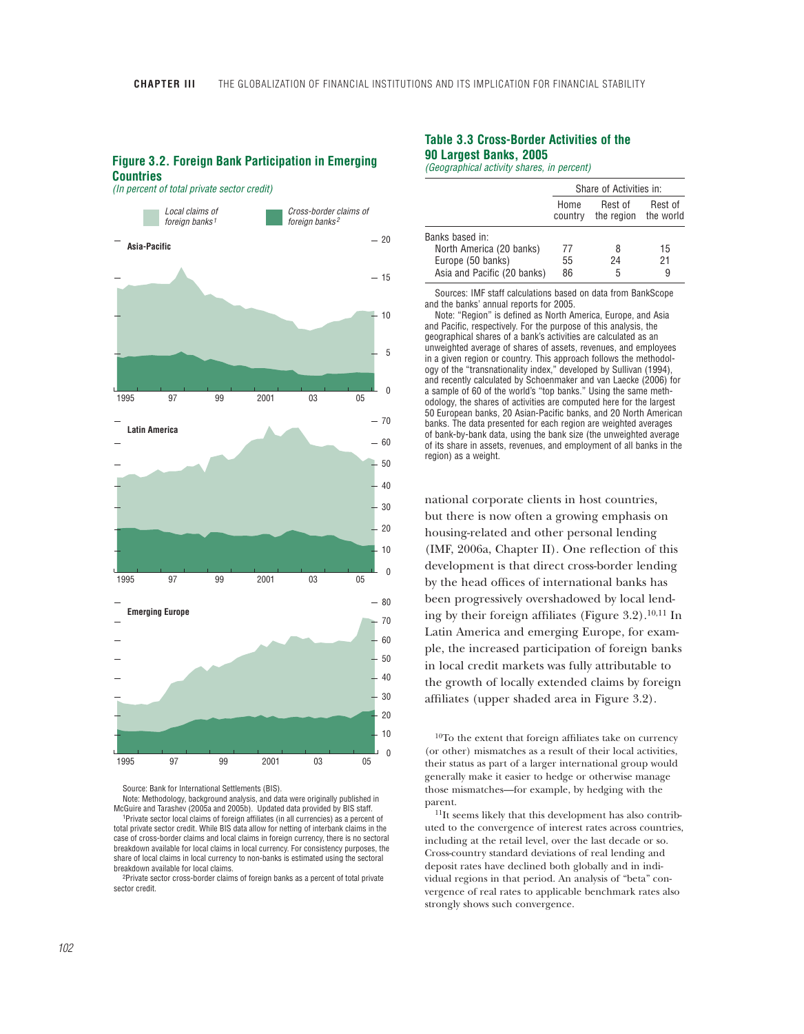

**Figure 3.2. Foreign Bank Participation in Emerging Countries**

(In percent of total private sector credit)

Source: Bank for International Settlements (BIS).

Note: Methodology, background analysis, and data were originally published in McGuire and Tarashev (2005a and 2005b). Updated data provided by BIS staff. 1Private sector local claims of foreign affiliates (in all currencies) as a percent of total private sector credit. While BIS data allow for netting of interbank claims in the case of cross-border claims and local claims in foreign currency, there is no sectoral breakdown available for local claims in local currency. For consistency purposes, the share of local claims in local currency to non-banks is estimated using the sectoral breakdown available for local claims.

2Private sector cross-border claims of foreign banks as a percent of total private sector credit.

# **Table 3.3 Cross-Border Activities of the 90 Largest Banks, 2005**

(Geographical activity shares, in percent)

|                             | Share of Activities in: |                       |                      |  |  |
|-----------------------------|-------------------------|-----------------------|----------------------|--|--|
|                             | Home<br>country         | Rest of<br>the region | Rest of<br>the world |  |  |
| Banks based in:             |                         |                       |                      |  |  |
| North America (20 banks)    | 77                      | 8                     | 15                   |  |  |
| Europe (50 banks)           | 55                      | 24                    | 21                   |  |  |
| Asia and Pacific (20 banks) | 86                      | 5                     | 9                    |  |  |

Sources: IMF staff calculations based on data from BankScope and the banks' annual reports for 2005.

Note: "Region" is defined as North America, Europe, and Asia and Pacific, respectively. For the purpose of this analysis, the geographical shares of a bank's activities are calculated as an unweighted average of shares of assets, revenues, and employees in a given region or country. This approach follows the methodology of the "transnationality index," developed by Sullivan (1994), and recently calculated by Schoenmaker and van Laecke (2006) for a sample of 60 of the world's "top banks." Using the same methodology, the shares of activities are computed here for the largest 50 European banks, 20 Asian-Pacific banks, and 20 North American banks. The data presented for each region are weighted averages of bank-by-bank data, using the bank size (the unweighted average of its share in assets, revenues, and employment of all banks in the region) as a weight.

national corporate clients in host countries, but there is now often a growing emphasis on housing-related and other personal lending (IMF, 2006a, Chapter II). One reflection of this development is that direct cross-border lending by the head offices of international banks has been progressively overshadowed by local lending by their foreign affiliates (Figure  $3.2$ ).<sup>10,11</sup> In Latin America and emerging Europe, for example, the increased participation of foreign banks in local credit markets was fully attributable to the growth of locally extended claims by foreign affiliates (upper shaded area in Figure 3.2).

10To the extent that foreign affiliates take on currency (or other) mismatches as a result of their local activities, their status as part of a larger international group would generally make it easier to hedge or otherwise manage those mismatches—for example, by hedging with the

parent.  $\rm ^{11}It$  seems likely that this development has also contributed to the convergence of interest rates across countries, including at the retail level, over the last decade or so. Cross-country standard deviations of real lending and deposit rates have declined both globally and in individual regions in that period. An analysis of "beta" convergence of real rates to applicable benchmark rates also strongly shows such convergence.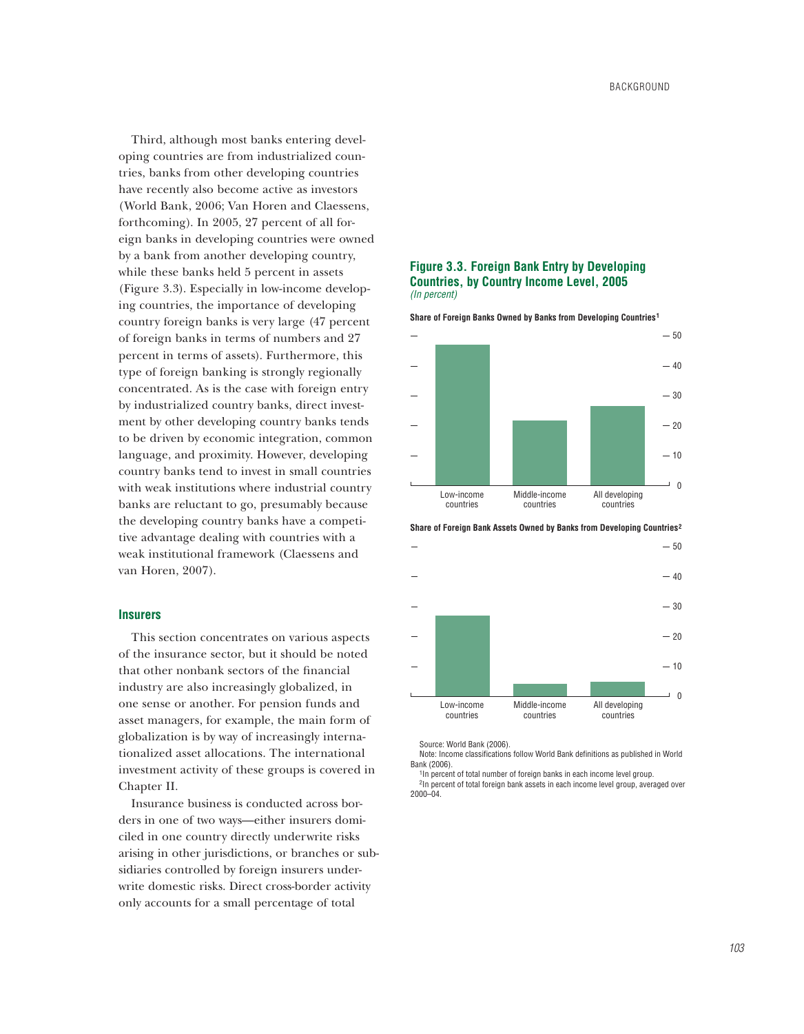Third, although most banks entering developing countries are from industrialized countries, banks from other developing countries have recently also become active as investors (World Bank, 2006; Van Horen and Claessens, forthcoming). In 2005, 27 percent of all foreign banks in developing countries were owned by a bank from another developing country, while these banks held 5 percent in assets (Figure 3.3). Especially in low-income developing countries, the importance of developing country foreign banks is very large (47 percent of foreign banks in terms of numbers and 27 percent in terms of assets). Furthermore, this type of foreign banking is strongly regionally concentrated. As is the case with foreign entry by industrialized country banks, direct investment by other developing country banks tends to be driven by economic integration, common language, and proximity. However, developing country banks tend to invest in small countries with weak institutions where industrial country banks are reluctant to go, presumably because the developing country banks have a competitive advantage dealing with countries with a weak institutional framework (Claessens and van Horen, 2007).

## **Insurers**

This section concentrates on various aspects of the insurance sector, but it should be noted that other nonbank sectors of the financial industry are also increasingly globalized, in one sense or another. For pension funds and asset managers, for example, the main form of globalization is by way of increasingly internationalized asset allocations. The international investment activity of these groups is covered in Chapter II.

Insurance business is conducted across borders in one of two ways—either insurers domiciled in one country directly underwrite risks arising in other jurisdictions, or branches or subsidiaries controlled by foreign insurers underwrite domestic risks. Direct cross-border activity only accounts for a small percentage of total

### **Figure 3.3. Foreign Bank Entry by Developing Countries, by Country Income Level, 2005** (In percent)

**Share of Foreign Banks Owned by Banks from Developing Countries1**



**Share of Foreign Bank Assets Owned by Banks from Developing Countries2**



Source: World Bank (2006).

Note: Income classifications follow World Bank definitions as published in World Bank (2006).

<sup>1</sup>In percent of total number of foreign banks in each income level group. <sup>2</sup>In percent of total foreign bank assets in each income level group, averaged over 2000–04.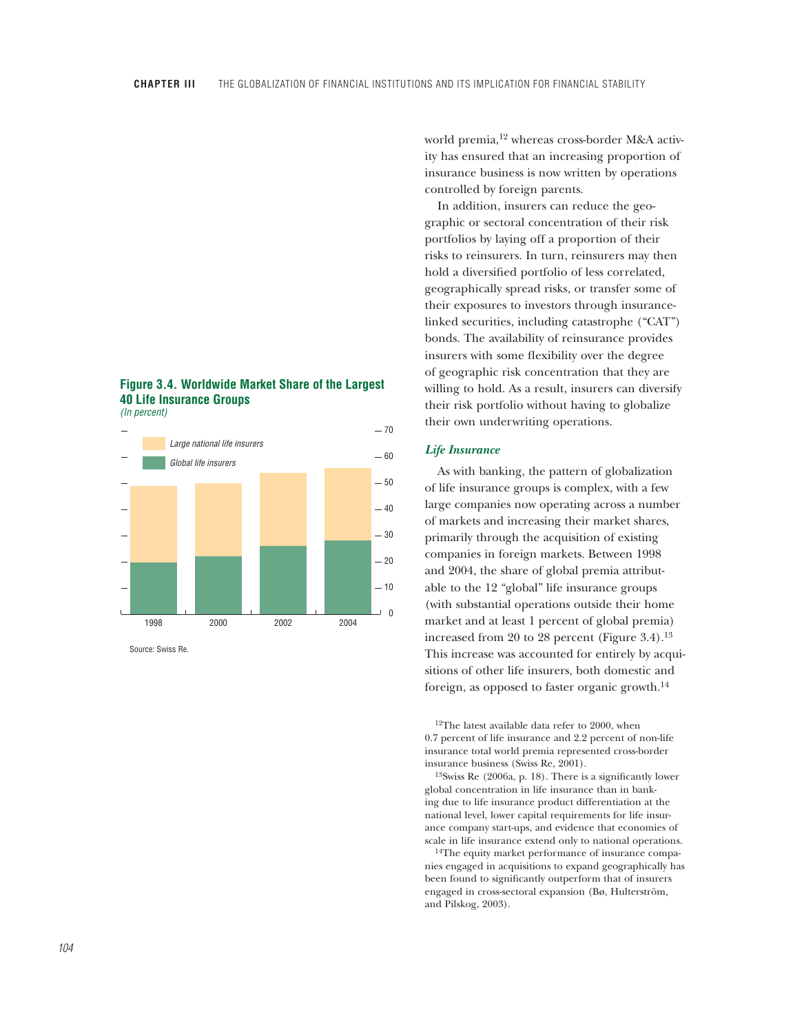

(In percent)



Source: Swiss Re.

world premia,<sup>12</sup> whereas cross-border M&A activity has ensured that an increasing proportion of insurance business is now written by operations controlled by foreign parents.

In addition, insurers can reduce the geographic or sectoral concentration of their risk portfolios by laying off a proportion of their risks to reinsurers. In turn, reinsurers may then hold a diversified portfolio of less correlated, geographically spread risks, or transfer some of their exposures to investors through insurancelinked securities, including catastrophe ("CAT") bonds. The availability of reinsurance provides insurers with some flexibility over the degree of geographic risk concentration that they are willing to hold. As a result, insurers can diversify their risk portfolio without having to globalize their own underwriting operations.

## *Life Insurance*

As with banking, the pattern of globalization of life insurance groups is complex, with a few large companies now operating across a number of markets and increasing their market shares, primarily through the acquisition of existing companies in foreign markets. Between 1998 and 2004, the share of global premia attributable to the 12 "global" life insurance groups (with substantial operations outside their home market and at least 1 percent of global premia) increased from 20 to 28 percent (Figure  $3.4$ ).<sup>13</sup> This increase was accounted for entirely by acquisitions of other life insurers, both domestic and foreign, as opposed to faster organic growth.14

<sup>12</sup>The latest available data refer to 2000, when 0.7 percent of life insurance and 2.2 percent of non-life insurance total world premia represented cross-border insurance business (Swiss Re, 2001).

13Swiss Re (2006a, p. 18). There is a significantly lower global concentration in life insurance than in banking due to life insurance product differentiation at the national level, lower capital requirements for life insurance company start-ups, and evidence that economies of scale in life insurance extend only to national operations.

14The equity market performance of insurance companies engaged in acquisitions to expand geographically has been found to significantly outperform that of insurers engaged in cross-sectoral expansion (Bø, Hulterström, and Pilskog, 2003).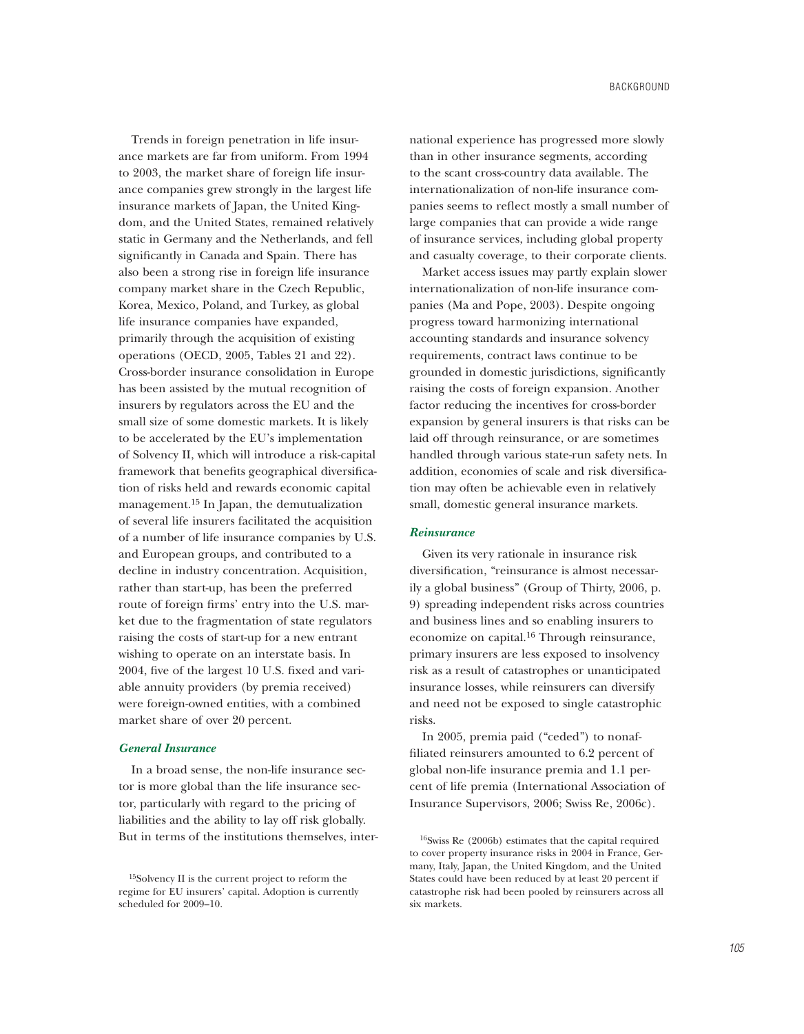Trends in foreign penetration in life insurance markets are far from uniform. From 1994 to 2003, the market share of foreign life insurance companies grew strongly in the largest life insurance markets of Japan, the United Kingdom, and the United States, remained relatively static in Germany and the Netherlands, and fell significantly in Canada and Spain. There has also been a strong rise in foreign life insurance company market share in the Czech Republic, Korea, Mexico, Poland, and Turkey, as global life insurance companies have expanded, primarily through the acquisition of existing operations (OECD, 2005, Tables 21 and 22). Cross-border insurance consolidation in Europe has been assisted by the mutual recognition of insurers by regulators across the EU and the small size of some domestic markets. It is likely to be accelerated by the EU's implementation of Solvency II, which will introduce a risk-capital framework that benefits geographical diversification of risks held and rewards economic capital management.15 In Japan, the demutualization of several life insurers facilitated the acquisition of a number of life insurance companies by U.S. and European groups, and contributed to a decline in industry concentration. Acquisition, rather than start-up, has been the preferred route of foreign firms' entry into the U.S. market due to the fragmentation of state regulators raising the costs of start-up for a new entrant wishing to operate on an interstate basis. In 2004, five of the largest 10 U.S. fixed and variable annuity providers (by premia received) were foreign-owned entities, with a combined market share of over 20 percent.

# *General Insurance*

In a broad sense, the non-life insurance sector is more global than the life insurance sector, particularly with regard to the pricing of liabilities and the ability to lay off risk globally. But in terms of the institutions themselves, international experience has progressed more slowly than in other insurance segments, according to the scant cross-country data available. The internationalization of non-life insurance companies seems to reflect mostly a small number of large companies that can provide a wide range of insurance services, including global property and casualty coverage, to their corporate clients.

Market access issues may partly explain slower internationalization of non-life insurance companies (Ma and Pope, 2003). Despite ongoing progress toward harmonizing international accounting standards and insurance solvency requirements, contract laws continue to be grounded in domestic jurisdictions, significantly raising the costs of foreign expansion. Another factor reducing the incentives for cross-border expansion by general insurers is that risks can be laid off through reinsurance, or are sometimes handled through various state-run safety nets. In addition, economies of scale and risk diversification may often be achievable even in relatively small, domestic general insurance markets.

### *Reinsurance*

Given its very rationale in insurance risk diversification, "reinsurance is almost necessarily a global business" (Group of Thirty, 2006, p. 9) spreading independent risks across countries and business lines and so enabling insurers to economize on capital.16 Through reinsurance, primary insurers are less exposed to insolvency risk as a result of catastrophes or unanticipated insurance losses, while reinsurers can diversify and need not be exposed to single catastrophic risks.

In 2005, premia paid ("ceded") to nonaffiliated reinsurers amounted to 6.2 percent of global non-life insurance premia and 1.1 percent of life premia (International Association of Insurance Supervisors, 2006; Swiss Re, 2006c).

<sup>15</sup>Solvency II is the current project to reform the regime for EU insurers' capital. Adoption is currently scheduled for 2009–10.

<sup>16</sup>Swiss Re (2006b) estimates that the capital required to cover property insurance risks in 2004 in France, Germany, Italy, Japan, the United Kingdom, and the United States could have been reduced by at least 20 percent if catastrophe risk had been pooled by reinsurers across all six markets.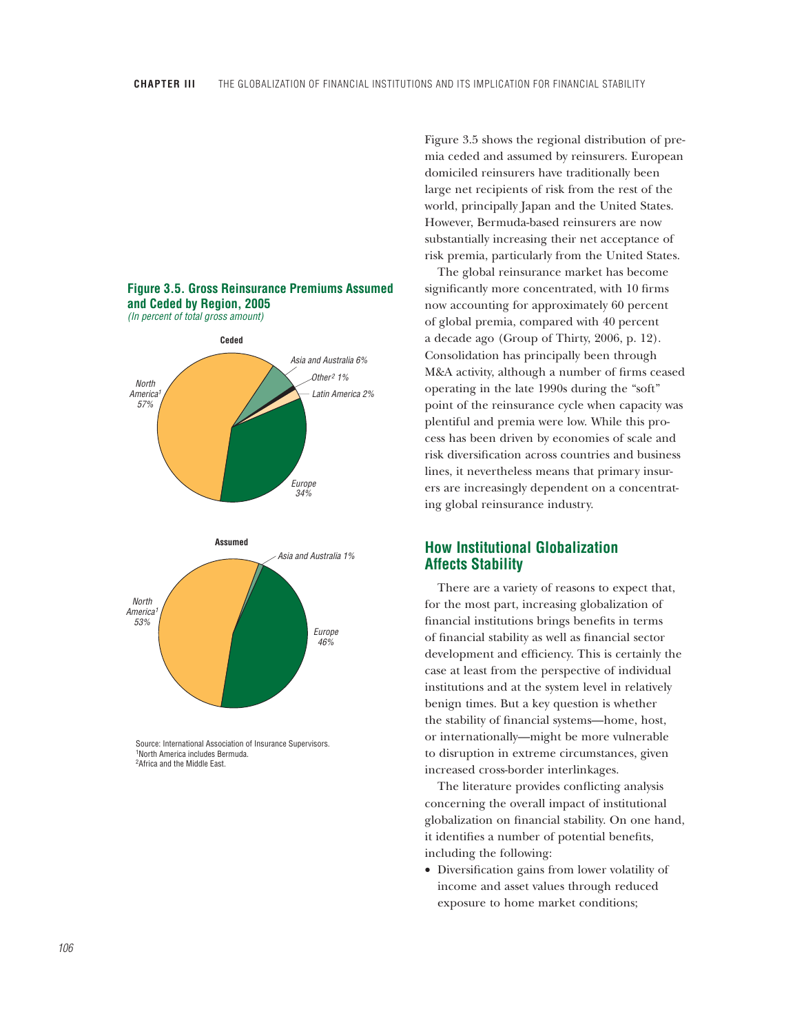

**Figure 3.5. Gross Reinsurance Premiums Assumed**

**and Ceded by Region, 2005**

Source: International Association of Insurance Supervisors. 1North America includes Bermuda. 2Africa and the Middle East.

Figure 3.5 shows the regional distribution of premia ceded and assumed by reinsurers. European domiciled reinsurers have traditionally been large net recipients of risk from the rest of the world, principally Japan and the United States. However, Bermuda-based reinsurers are now substantially increasing their net acceptance of risk premia, particularly from the United States.

The global reinsurance market has become significantly more concentrated, with 10 firms now accounting for approximately 60 percent of global premia, compared with 40 percent a decade ago (Group of Thirty, 2006, p. 12). Consolidation has principally been through M&A activity, although a number of firms ceased operating in the late 1990s during the "soft" point of the reinsurance cycle when capacity was plentiful and premia were low. While this process has been driven by economies of scale and risk diversification across countries and business lines, it nevertheless means that primary insurers are increasingly dependent on a concentrating global reinsurance industry.

# **How Institutional Globalization Affects Stability**

There are a variety of reasons to expect that, for the most part, increasing globalization of financial institutions brings benefits in terms of financial stability as well as financial sector development and efficiency. This is certainly the case at least from the perspective of individual institutions and at the system level in relatively benign times. But a key question is whether the stability of financial systems—home, host, or internationally—might be more vulnerable to disruption in extreme circumstances, given increased cross-border interlinkages.

The literature provides conflicting analysis concerning the overall impact of institutional globalization on financial stability. On one hand, it identifies a number of potential benefits, including the following:

• Diversification gains from lower volatility of income and asset values through reduced exposure to home market conditions;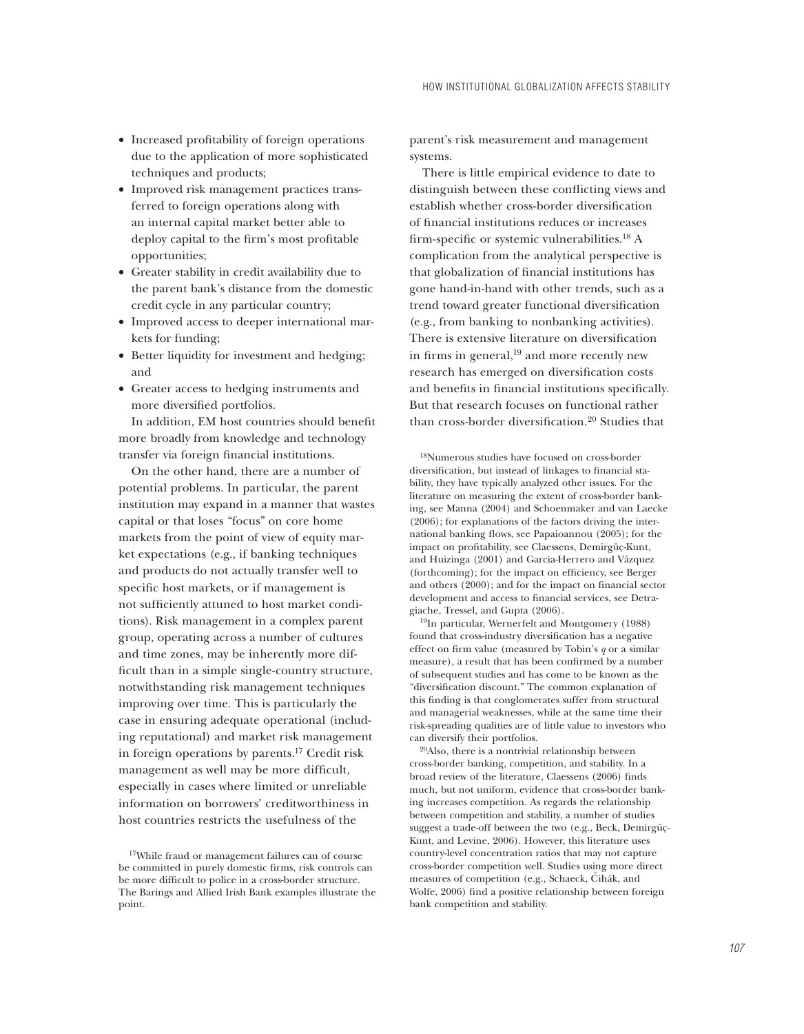- v Increased profitability of foreign operations due to the application of more sophisticated techniques and products;
- Improved risk management practices transferred to foreign operations along with an internal capital market better able to deploy capital to the firm's most profitable opportunities;
- Greater stability in credit availability due to the parent bank's distance from the domestic credit cycle in any particular country;
- v Improved access to deeper international markets for funding;
- Better liquidity for investment and hedging; and
- v Greater access to hedging instruments and more diversified portfolios.

In addition, EM host countries should benefit more broadly from knowledge and technology transfer via foreign financial institutions.

On the other hand, there are a number of potential problems. In particular, the parent institution may expand in a manner that wastes capital or that loses "focus" on core home markets from the point of view of equity market expectations (e.g., if banking techniques and products do not actually transfer well to specific host markets, or if management is not sufficiently attuned to host market conditions). Risk management in a complex parent group, operating across a number of cultures and time zones, may be inherently more difficult than in a simple single-country structure, notwithstanding risk management techniques improving over time. This is particularly the case in ensuring adequate operational (including reputational) and market risk management in foreign operations by parents.17 Credit risk management as well may be more difficult, especially in cases where limited or unreliable information on borrowers' creditworthiness in host countries restricts the usefulness of the

parent's risk measurement and management systems.

There is little empirical evidence to date to distinguish between these conflicting views and establish whether cross-border diversification of financial institutions reduces or increases firm-specific or systemic vulnerabilities.18 A complication from the analytical perspective is that globalization of financial institutions has gone hand-in-hand with other trends, such as a trend toward greater functional diversification (e.g., from banking to nonbanking activities). There is extensive literature on diversification in firms in general, $19$  and more recently new research has emerged on diversification costs and benefits in financial institutions specifically. But that research focuses on functional rather than cross-border diversification.20 Studies that

18Numerous studies have focused on cross-border diversification, but instead of linkages to financial stability, they have typically analyzed other issues. For the literature on measuring the extent of cross-border banking, see Manna (2004) and Schoenmaker and van Laecke (2006); for explanations of the factors driving the international banking flows, see Papaioannou (2005); for the impact on profitability, see Claessens, Demirgüç-Kunt, and Huizinga (2001) and Garcia-Herrero and Vázquez (forthcoming); for the impact on efficiency, see Berger and others (2000); and for the impact on financial sector development and access to financial services, see Detragiache, Tressel, and Gupta (2006).

19In particular, Wernerfelt and Montgomery (1988) found that cross-industry diversification has a negative effect on firm value (measured by Tobin's *q* or a similar measure), a result that has been confirmed by a number of subsequent studies and has come to be known as the "diversification discount." The common explanation of this finding is that conglomerates suffer from structural and managerial weaknesses, while at the same time their risk-spreading qualities are of little value to investors who can diversify their portfolios.

20Also, there is a nontrivial relationship between cross-border banking, competition, and stability. In a broad review of the literature, Claessens (2006) finds much, but not uniform, evidence that cross-border banking increases competition. As regards the relationship between competition and stability, a number of studies suggest a trade-off between the two (e.g., Beck, Demirgüç-Kunt, and Levine, 2006). However, this literature uses country-level concentration ratios that may not capture cross-border competition well. Studies using more direct measures of competition (e.g., Schaeck, C*ˇ* ihák, and Wolfe, 2006) find a positive relationship between foreign bank competition and stability.

<sup>17</sup>While fraud or management failures can of course be committed in purely domestic firms, risk controls can be more difficult to police in a cross-border structure. The Barings and Allied Irish Bank examples illustrate the point.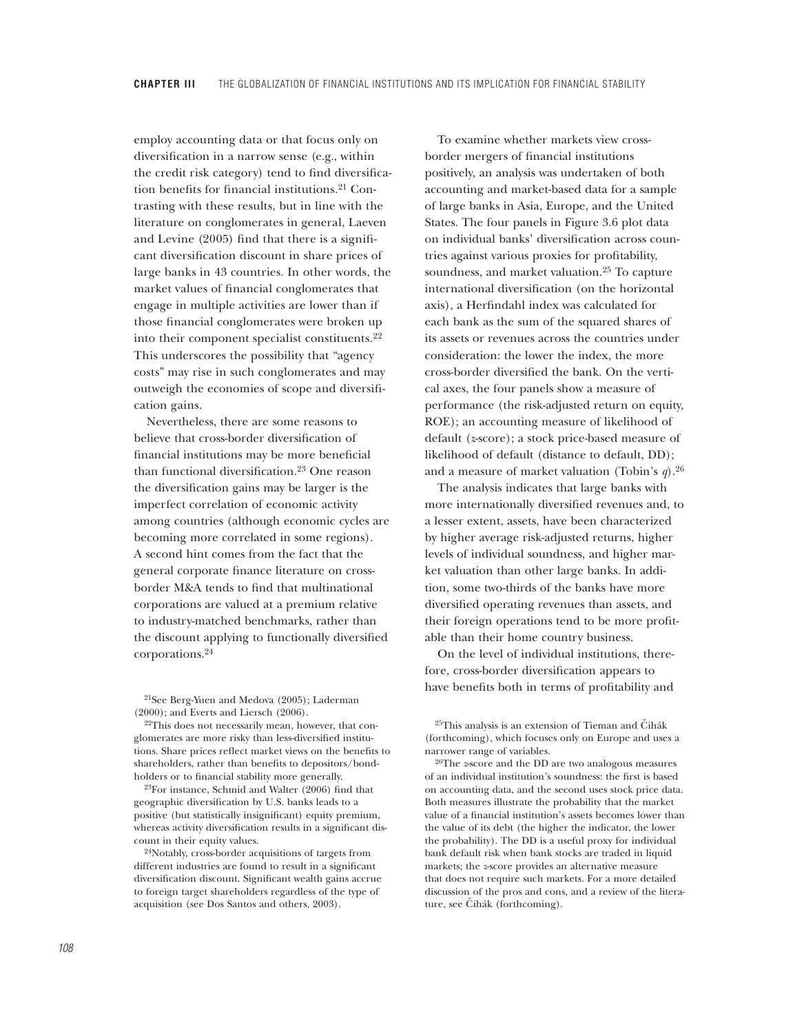employ accounting data or that focus only on diversification in a narrow sense (e.g., within the credit risk category) tend to find diversification benefits for financial institutions.21 Contrasting with these results, but in line with the literature on conglomerates in general, Laeven and Levine (2005) find that there is a significant diversification discount in share prices of large banks in 43 countries. In other words, the market values of financial conglomerates that engage in multiple activities are lower than if those financial conglomerates were broken up into their component specialist constituents.22 This underscores the possibility that "agency costs" may rise in such conglomerates and may outweigh the economies of scope and diversification gains.

Nevertheless, there are some reasons to believe that cross-border diversification of financial institutions may be more beneficial than functional diversification.23 One reason the diversification gains may be larger is the imperfect correlation of economic activity among countries (although economic cycles are becoming more correlated in some regions). A second hint comes from the fact that the general corporate finance literature on crossborder M&A tends to find that multinational corporations are valued at a premium relative to industry-matched benchmarks, rather than the discount applying to functionally diversified corporations.24

21See Berg-Yuen and Medova (2005); Laderman (2000); and Everts and Liersch (2006).<br><sup>22</sup>This does not necessarily mean, however, that con-

glomerates are more risky than less-diversified institutions. Share prices reflect market views on the benefits to shareholders, rather than benefits to depositors/bondholders or to financial stability more generally.

23For instance, Schmid and Walter (2006) find that geographic diversification by U.S. banks leads to a positive (but statistically insignificant) equity premium, whereas activity diversification results in a significant discount in their equity values.

To examine whether markets view crossborder mergers of financial institutions positively, an analysis was undertaken of both accounting and market-based data for a sample of large banks in Asia, Europe, and the United States. The four panels in Figure 3.6 plot data on individual banks' diversification across countries against various proxies for profitability, soundness, and market valuation.25 To capture international diversification (on the horizontal axis), a Herfindahl index was calculated for each bank as the sum of the squared shares of its assets or revenues across the countries under consideration: the lower the index, the more cross-border diversified the bank. On the vertical axes, the four panels show a measure of performance (the risk-adjusted return on equity, ROE); an accounting measure of likelihood of default (*z*-score); a stock price-based measure of likelihood of default (distance to default, DD); and a measure of market valuation (Tobin's *q*).26

The analysis indicates that large banks with more internationally diversified revenues and, to a lesser extent, assets, have been characterized by higher average risk-adjusted returns, higher levels of individual soundness, and higher market valuation than other large banks. In addition, some two-thirds of the banks have more diversified operating revenues than assets, and their foreign operations tend to be more profitable than their home country business.

On the level of individual institutions, therefore, cross-border diversification appears to have benefits both in terms of profitability and

<sup>24</sup>Notably, cross-border acquisitions of targets from different industries are found to result in a significant diversification discount. Significant wealth gains accrue to foreign target shareholders regardless of the type of acquisition (see Dos Santos and others, 2003).

 $25$ This analysis is an extension of Tieman and Čihák (forthcoming), which focuses only on Europe and uses a narrower range of variables.

<sup>26</sup>The *z*-score and the DD are two analogous measures of an individual institution's soundness: the first is based on accounting data, and the second uses stock price data. Both measures illustrate the probability that the market value of a financial institution's assets becomes lower than the value of its debt (the higher the indicator, the lower the probability). The DD is a useful proxy for individual bank default risk when bank stocks are traded in liquid markets; the *z*-score provides an alternative measure that does not require such markets. For a more detailed discussion of the pros and cons, and a review of the literature, see Čihák (forthcoming).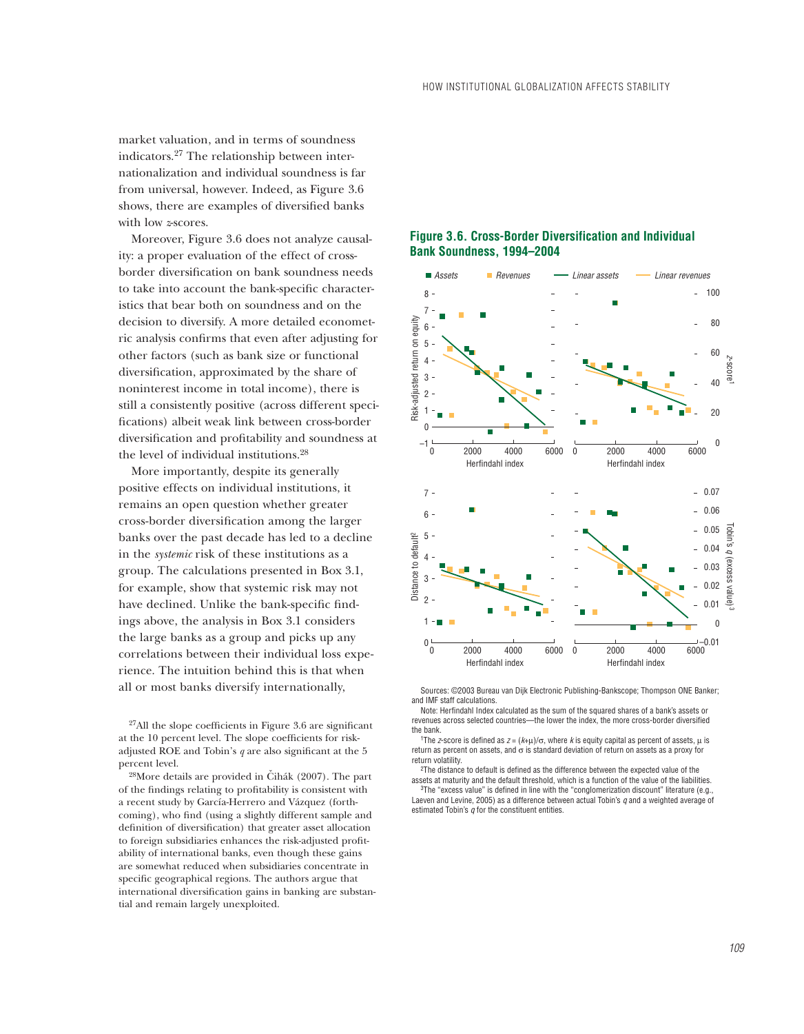market valuation, and in terms of soundness indicators.27 The relationship between internationalization and individual soundness is far from universal, however. Indeed, as Figure 3.6 shows, there are examples of diversified banks with low *z*-scores.

Moreover, Figure 3.6 does not analyze causality: a proper evaluation of the effect of crossborder diversification on bank soundness needs to take into account the bank-specific characteristics that bear both on soundness and on the decision to diversify. A more detailed econometric analysis confirms that even after adjusting for other factors (such as bank size or functional diversification, approximated by the share of noninterest income in total income), there is still a consistently positive (across different specifications) albeit weak link between cross-border diversification and profitability and soundness at the level of individual institutions.28

More importantly, despite its generally positive effects on individual institutions, it remains an open question whether greater cross-border diversification among the larger banks over the past decade has led to a decline in the *systemic* risk of these institutions as a group. The calculations presented in Box 3.1, for example, show that systemic risk may not have declined. Unlike the bank-specific findings above, the analysis in Box 3.1 considers the large banks as a group and picks up any correlations between their individual loss experience. The intuition behind this is that when all or most banks diversify internationally,

27All the slope coefficients in Figure 3.6 are significant at the 10 percent level. The slope coefficients for riskadjusted ROE and Tobin's  $q$  are also significant at the  $5$  percent level.

<sup>28</sup>More details are provided in Čihák (2007). The part of the findings relating to profitability is consistent with a recent study by García-Herrero and Vázquez (forthcoming), who find (using a slightly different sample and definition of diversification) that greater asset allocation to foreign subsidiaries enhances the risk-adjusted profitability of international banks, even though these gains are somewhat reduced when subsidiaries concentrate in specific geographical regions. The authors argue that international diversification gains in banking are substantial and remain largely unexploited.



# **Figure 3.6. Cross-Border Diversification and Individual Bank Soundness, 1994–2004**

Sources: ©2003 Bureau van Dijk Electronic Publishing-Bankscope; Thompson ONE Banker; and IMF staff calculations.

Note: Herfindahl Index calculated as the sum of the squared shares of a bank's assets or revenues across selected countries—the lower the index, the more cross-border diversified the bank.

<sup>1</sup>The z-score is defined as  $z = (k+\mu)/\sigma$ , where k is equity capital as percent of assets,  $\mu$  is return as percent on assets, and  $\sigma$  is standard deviation of return on assets as a proxy for return volatility.

2The distance to default is defined as the difference between the expected value of the assets at maturity and the default threshold, which is a function of the value of the liabilities.

<sup>3</sup>The "excess value" is defined in line with the "conglomerization discount" literature (e.g., Laeven and Levine, 2005) as a difference between actual Tobin's  $q$  and a weighted average of estimated Tobin's  $q$  for the constituent entities.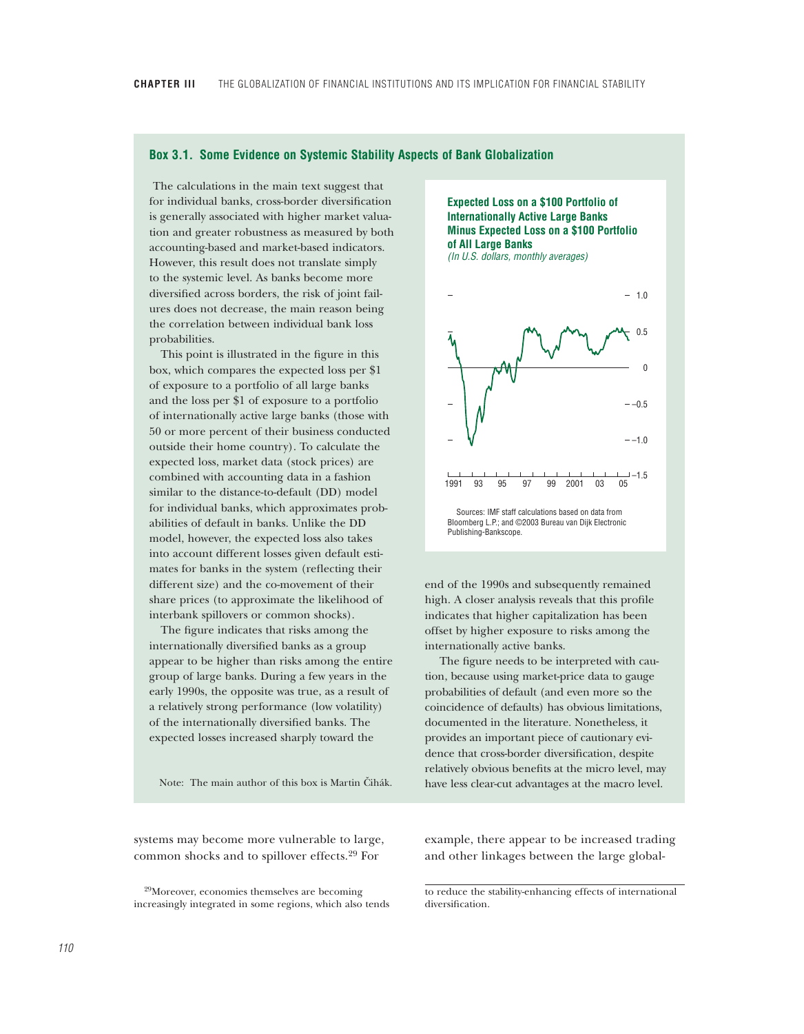### **Box 3.1. Some Evidence on Systemic Stability Aspects of Bank Globalization**

The calculations in the main text suggest that for individual banks, cross-border diversification is generally associated with higher market valuation and greater robustness as measured by both accounting-based and market-based indicators. However, this result does not translate simply to the systemic level. As banks become more diversified across borders, the risk of joint failures does not decrease, the main reason being the correlation between individual bank loss probabilities.

This point is illustrated in the figure in this box, which compares the expected loss per \$1 of exposure to a portfolio of all large banks and the loss per \$1 of exposure to a portfolio of internationally active large banks (those with 50 or more percent of their business conducted outside their home country). To calculate the expected loss, market data (stock prices) are combined with accounting data in a fashion similar to the distance-to-default (DD) model for individual banks, which approximates probabilities of default in banks. Unlike the DD model, however, the expected loss also takes into account different losses given default estimates for banks in the system (reflecting their different size) and the co-movement of their share prices (to approximate the likelihood of interbank spillovers or common shocks).

The figure indicates that risks among the internationally diversified banks as a group appear to be higher than risks among the entire group of large banks. During a few years in the early 1990s, the opposite was true, as a result of a relatively strong performance (low volatility) of the internationally diversified banks. The expected losses increased sharply toward the

Note: The main author of this box is Martin Čihák.

systems may become more vulnerable to large, common shocks and to spillover effects.29 For

29Moreover, economies themselves are becoming increasingly integrated in some regions, which also tends **Expected Loss on a \$100 Portfolio of Internationally Active Large Banks Minus Expected Loss on a \$100 Portfolio of All Large Banks**

(In U.S. dollars, monthly averages)



end of the 1990s and subsequently remained high. A closer analysis reveals that this profile indicates that higher capitalization has been offset by higher exposure to risks among the internationally active banks.

 The figure needs to be interpreted with caution, because using market-price data to gauge probabilities of default (and even more so the coincidence of defaults) has obvious limitations, documented in the literature. Nonetheless, it provides an important piece of cautionary evidence that cross-border diversification, despite relatively obvious benefits at the micro level, may have less clear-cut advantages at the macro level.

example, there appear to be increased trading and other linkages between the large global-

to reduce the stability-enhancing effects of international diversification.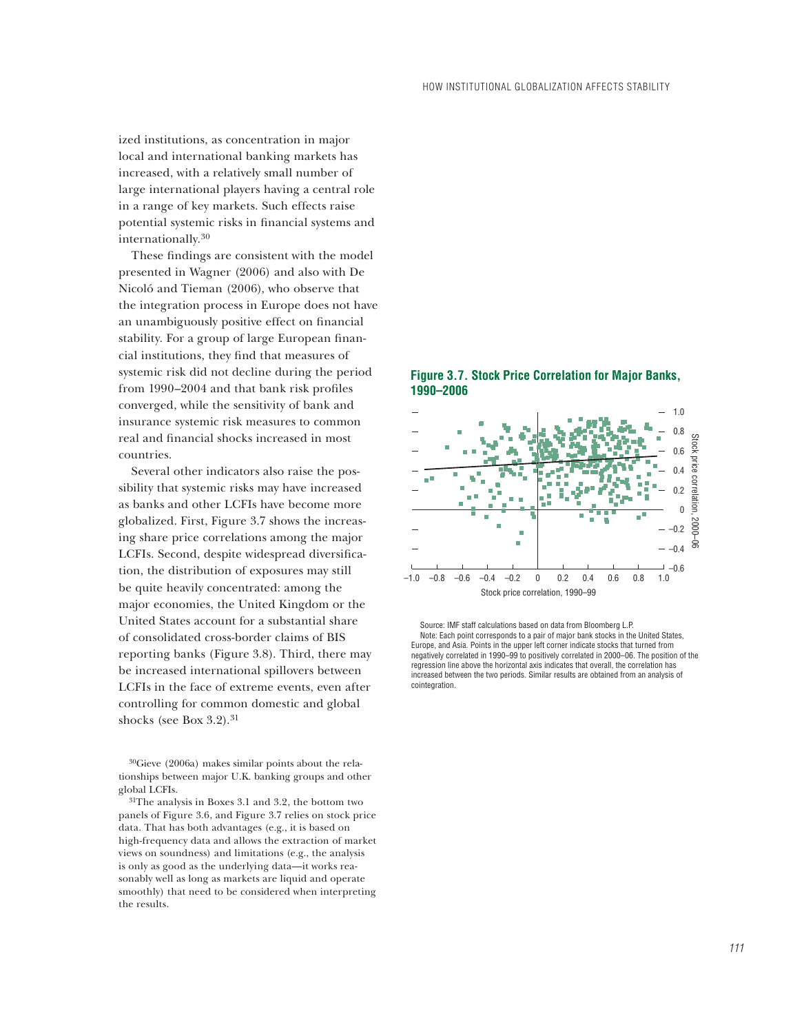ized institutions, as concentration in major local and international banking markets has increased, with a relatively small number of large international players having a central role in a range of key markets. Such effects raise potential systemic risks in financial systems and internationally.30

These findings are consistent with the model presented in Wagner (2006) and also with De Nicoló and Tieman (2006), who observe that the integration process in Europe does not have an unambiguously positive effect on financial stability. For a group of large European financial institutions, they find that measures of systemic risk did not decline during the period from 1990–2004 and that bank risk profiles converged, while the sensitivity of bank and insurance systemic risk measures to common real and financial shocks increased in most countries.

Several other indicators also raise the possibility that systemic risks may have increased as banks and other LCFIs have become more globalized. First, Figure 3.7 shows the increasing share price correlations among the major LCFIs. Second, despite widespread diversification, the distribution of exposures may still be quite heavily concentrated: among the major economies, the United Kingdom or the United States account for a substantial share of consolidated cross-border claims of BIS reporting banks (Figure 3.8). Third, there may be increased international spillovers between LCFIs in the face of extreme events, even after controlling for common domestic and global shocks (see Box  $3.2$ ).  $31$ 

30Gieve (2006a) makes similar points about the relationships between major U.K. banking groups and other global LCFIs. 31The analysis in Boxes 3.1 and 3.2, the bottom two

panels of Figure 3.6, and Figure 3.7 relies on stock price data. That has both advantages (e.g., it is based on high-frequency data and allows the extraction of market views on soundness) and limitations (e.g., the analysis is only as good as the underlying data—it works reasonably well as long as markets are liquid and operate smoothly) that need to be considered when interpreting the results.



**Figure 3.7. Stock Price Correlation for Major Banks,**

Source: IMF staff calculations based on data from Bloomberg L.P. Note: Each point corresponds to a pair of major bank stocks in the United States, Europe, and Asia. Points in the upper left corner indicate stocks that turned from negatively correlated in 1990–99 to positively correlated in 2000–06. The position of the regression line above the horizontal axis indicates that overall, the correlation has increased between the two periods. Similar results are obtained from an analysis of cointegration.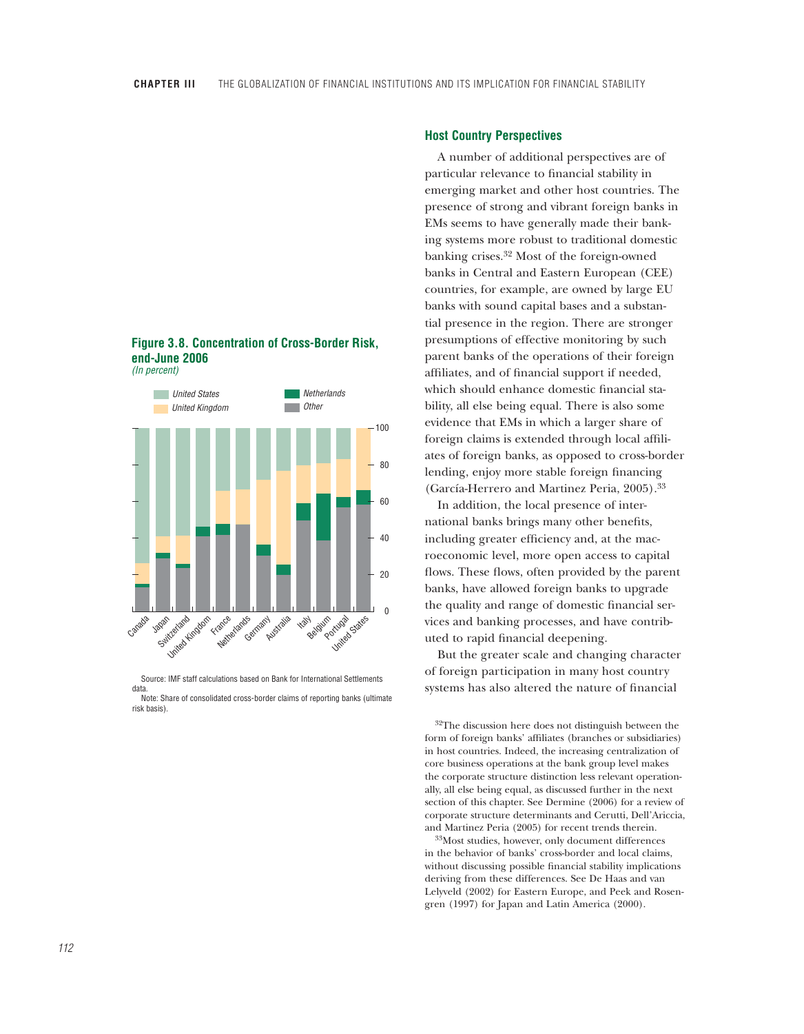



Source: IMF staff calculations based on Bank for International Settlements data.

Note: Share of consolidated cross-border claims of reporting banks (ultimate risk basis).

### **Host Country Perspectives**

A number of additional perspectives are of particular relevance to financial stability in emerging market and other host countries. The presence of strong and vibrant foreign banks in EMs seems to have generally made their banking systems more robust to traditional domestic banking crises.32 Most of the foreign-owned banks in Central and Eastern European (CEE) countries, for example, are owned by large EU banks with sound capital bases and a substantial presence in the region. There are stronger presumptions of effective monitoring by such parent banks of the operations of their foreign affiliates, and of financial support if needed, which should enhance domestic financial stability, all else being equal. There is also some evidence that EMs in which a larger share of foreign claims is extended through local affiliates of foreign banks, as opposed to cross-border lending, enjoy more stable foreign financing (García-Herrero and Martinez Peria, 2005).33

In addition, the local presence of international banks brings many other benefits, including greater efficiency and, at the macroeconomic level, more open access to capital flows. These flows, often provided by the parent banks, have allowed foreign banks to upgrade the quality and range of domestic financial services and banking processes, and have contributed to rapid financial deepening.

But the greater scale and changing character of foreign participation in many host country systems has also altered the nature of financial

32The discussion here does not distinguish between the form of foreign banks' affiliates (branches or subsidiaries) in host countries. Indeed, the increasing centralization of core business operations at the bank group level makes the corporate structure distinction less relevant operationally, all else being equal, as discussed further in the next section of this chapter. See Dermine (2006) for a review of corporate structure determinants and Cerutti, Dell'Ariccia, and Martinez Peria (2005) for recent trends therein.

33Most studies, however, only document differences in the behavior of banks' cross-border and local claims, without discussing possible financial stability implications deriving from these differences. See De Haas and van Lelyveld (2002) for Eastern Europe, and Peek and Rosengren (1997) for Japan and Latin America (2000).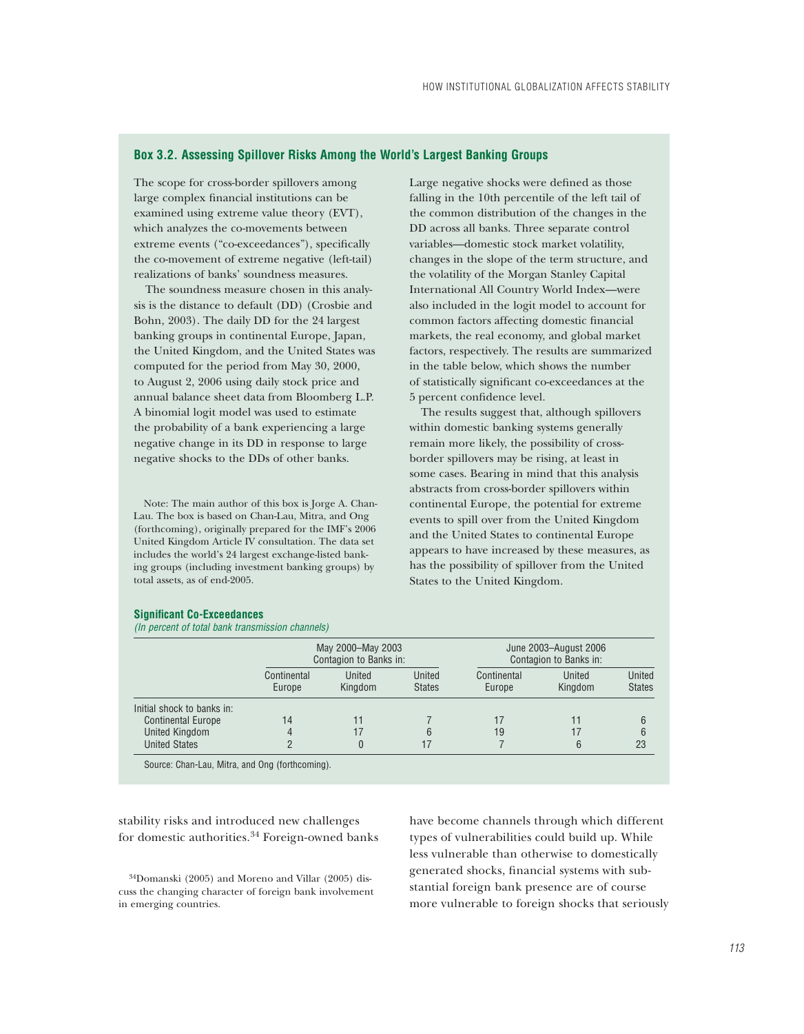## **Box 3.2. Assessing Spillover Risks Among the World's Largest Banking Groups**

The scope for cross-border spillovers among large complex financial institutions can be examined using extreme value theory (EVT), which analyzes the co-movements between extreme events ("co-exceedances"), specifically the co-movement of extreme negative (left-tail) realizations of banks' soundness measures.

The soundness measure chosen in this analysis is the distance to default (DD) (Crosbie and Bohn, 2003). The daily DD for the 24 largest banking groups in continental Europe, Japan, the United Kingdom, and the United States was computed for the period from May 30, 2000, to August 2, 2006 using daily stock price and annual balance sheet data from Bloomberg L.P. A binomial logit model was used to estimate the probability of a bank experiencing a large negative change in its DD in response to large negative shocks to the DDs of other banks.

Note: The main author of this box is Jorge A. Chan-Lau. The box is based on Chan-Lau, Mitra, and Ong (forthcoming), originally prepared for the IMF's 2006 United Kingdom Article IV consultation. The data set includes the world's 24 largest exchange-listed banking groups (including investment banking groups) by total assets, as of end-2005.

Large negative shocks were defined as those falling in the 10th percentile of the left tail of the common distribution of the changes in the DD across all banks. Three separate control variables—domestic stock market volatility, changes in the slope of the term structure, and the volatility of the Morgan Stanley Capital International All Country World Index—were also included in the logit model to account for common factors affecting domestic financial markets, the real economy, and global market factors, respectively. The results are summarized in the table below, which shows the number of statistically significant co-exceedances at the 5 percent confidence level.

The results suggest that, although spillovers within domestic banking systems generally remain more likely, the possibility of crossborder spillovers may be rising, at least in some cases. Bearing in mind that this analysis abstracts from cross-border spillovers within continental Europe, the potential for extreme events to spill over from the United Kingdom and the United States to continental Europe appears to have increased by these measures, as has the possibility of spillover from the United States to the United Kingdom.

# **Significant Co-Exceedances**

(In percent of total bank transmission channels)

|                            |                       | May 2000-May 2003<br>Contagion to Banks in: |                         | June 2003-August 2006<br>Contagion to Banks in: |                   |                                |  |
|----------------------------|-----------------------|---------------------------------------------|-------------------------|-------------------------------------------------|-------------------|--------------------------------|--|
|                            | Continental<br>Europe | United<br>Kingdom                           | United<br><b>States</b> | Continental<br>Europe                           | United<br>Kingdom | <b>United</b><br><b>States</b> |  |
| Initial shock to banks in: |                       |                                             |                         |                                                 |                   |                                |  |
| <b>Continental Europe</b>  | 14                    | 11                                          |                         | 17                                              | 11                |                                |  |
| <b>United Kingdom</b>      | 4                     | 17                                          | 6                       | 19                                              |                   |                                |  |
| <b>United States</b>       |                       |                                             |                         |                                                 |                   | 23                             |  |

Source: Chan-Lau, Mitra, and Ong (forthcoming).

stability risks and introduced new challenges for domestic authorities.34 Foreign-owned banks

have become channels through which different types of vulnerabilities could build up. While less vulnerable than otherwise to domestically generated shocks, financial systems with substantial foreign bank presence are of course more vulnerable to foreign shocks that seriously

<sup>34</sup>Domanski (2005) and Moreno and Villar (2005) discuss the changing character of foreign bank involvement in emerging countries.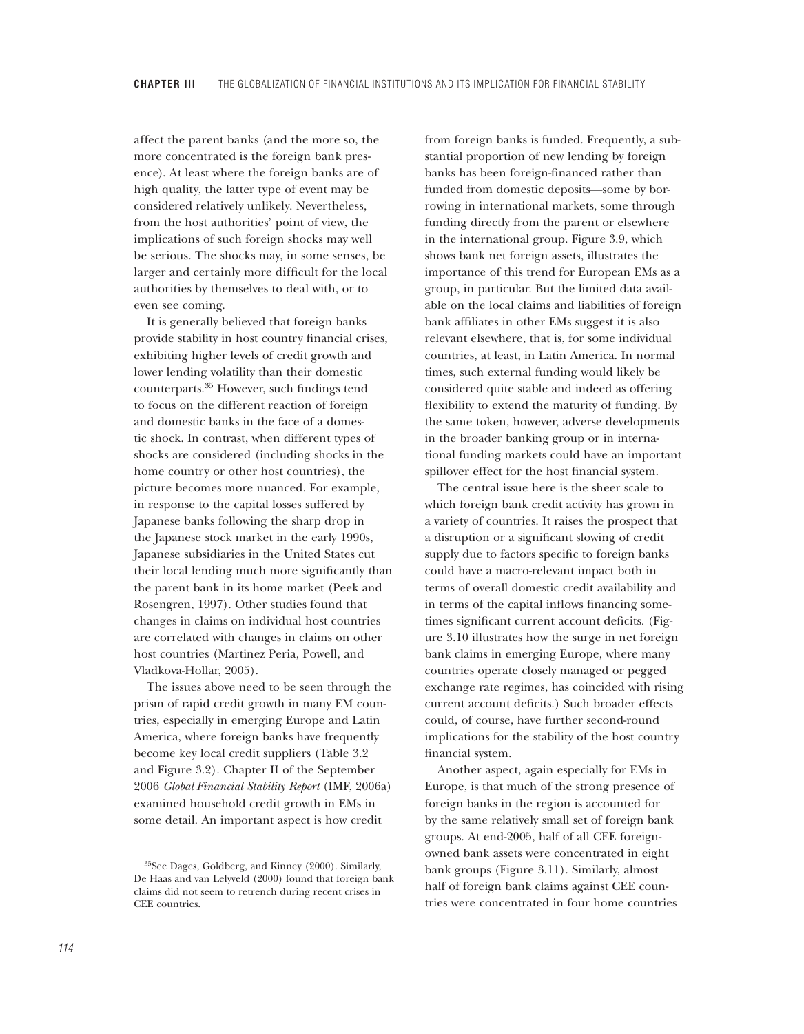affect the parent banks (and the more so, the more concentrated is the foreign bank presence). At least where the foreign banks are of high quality, the latter type of event may be considered relatively unlikely. Nevertheless, from the host authorities' point of view, the implications of such foreign shocks may well be serious. The shocks may, in some senses, be larger and certainly more difficult for the local authorities by themselves to deal with, or to even see coming.

It is generally believed that foreign banks provide stability in host country financial crises, exhibiting higher levels of credit growth and lower lending volatility than their domestic counterparts.35 However, such findings tend to focus on the different reaction of foreign and domestic banks in the face of a domestic shock. In contrast, when different types of shocks are considered (including shocks in the home country or other host countries), the picture becomes more nuanced. For example, in response to the capital losses suffered by Japanese banks following the sharp drop in the Japanese stock market in the early 1990s, Japanese subsidiaries in the United States cut their local lending much more significantly than the parent bank in its home market (Peek and Rosengren, 1997). Other studies found that changes in claims on individual host countries are correlated with changes in claims on other host countries (Martinez Peria, Powell, and Vladkova-Hollar, 2005).

The issues above need to be seen through the prism of rapid credit growth in many EM countries, especially in emerging Europe and Latin America, where foreign banks have frequently become key local credit suppliers (Table 3.2 and Figure 3.2). Chapter II of the September 2006 *Global Financial Stability Report* (IMF, 2006a) examined household credit growth in EMs in some detail. An important aspect is how credit

from foreign banks is funded. Frequently, a substantial proportion of new lending by foreign banks has been foreign-financed rather than funded from domestic deposits—some by borrowing in international markets, some through funding directly from the parent or elsewhere in the international group. Figure 3.9, which shows bank net foreign assets, illustrates the importance of this trend for European EMs as a group, in particular. But the limited data available on the local claims and liabilities of foreign bank affiliates in other EMs suggest it is also relevant elsewhere, that is, for some individual countries, at least, in Latin America. In normal times, such external funding would likely be considered quite stable and indeed as offering flexibility to extend the maturity of funding. By the same token, however, adverse developments in the broader banking group or in international funding markets could have an important spillover effect for the host financial system.

The central issue here is the sheer scale to which foreign bank credit activity has grown in a variety of countries. It raises the prospect that a disruption or a significant slowing of credit supply due to factors specific to foreign banks could have a macro-relevant impact both in terms of overall domestic credit availability and in terms of the capital inflows financing sometimes significant current account deficits. (Figure 3.10 illustrates how the surge in net foreign bank claims in emerging Europe, where many countries operate closely managed or pegged exchange rate regimes, has coincided with rising current account deficits.) Such broader effects could, of course, have further second-round implications for the stability of the host country financial system.

Another aspect, again especially for EMs in Europe, is that much of the strong presence of foreign banks in the region is accounted for by the same relatively small set of foreign bank groups. At end-2005, half of all CEE foreignowned bank assets were concentrated in eight bank groups (Figure 3.11). Similarly, almost half of foreign bank claims against CEE countries were concentrated in four home countries

<sup>35</sup>See Dages, Goldberg, and Kinney (2000). Similarly, De Haas and van Lelyveld (2000) found that foreign bank claims did not seem to retrench during recent crises in CEE countries.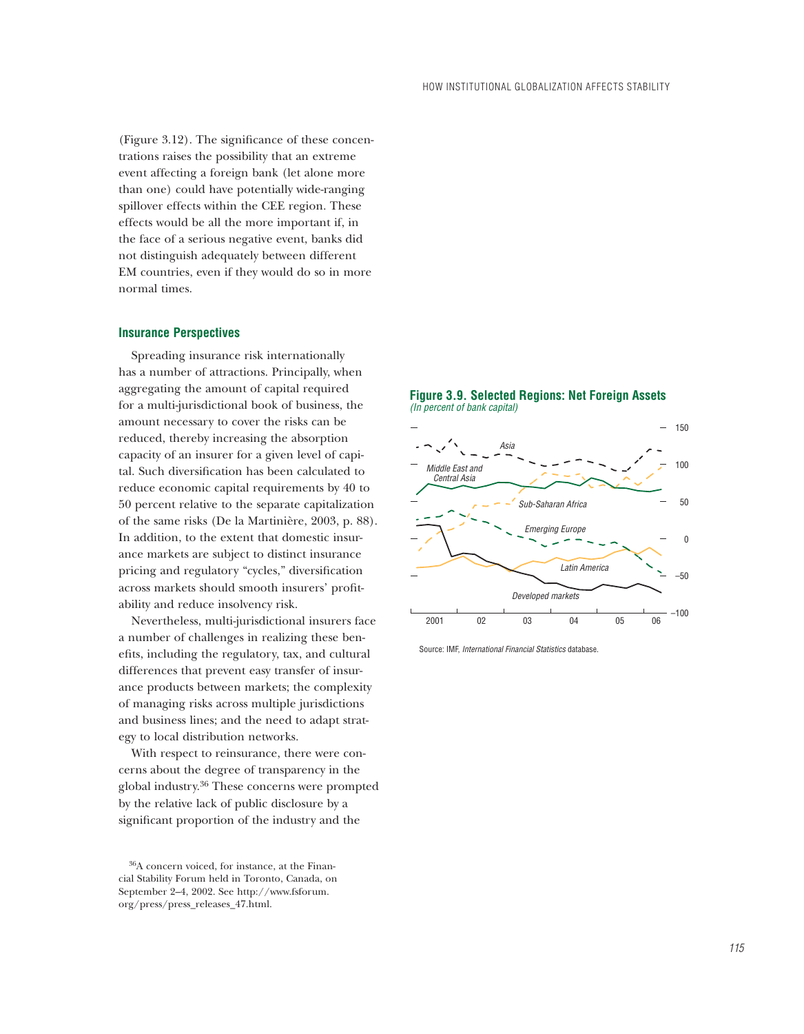(Figure 3.12). The significance of these concentrations raises the possibility that an extreme event affecting a foreign bank (let alone more than one) could have potentially wide-ranging spillover effects within the CEE region. These effects would be all the more important if, in the face of a serious negative event, banks did not distinguish adequately between different EM countries, even if they would do so in more normal times.

## **Insurance Perspectives**

Spreading insurance risk internationally has a number of attractions. Principally, when aggregating the amount of capital required for a multi-jurisdictional book of business, the amount necessary to cover the risks can be reduced, thereby increasing the absorption capacity of an insurer for a given level of capital. Such diversification has been calculated to reduce economic capital requirements by 40 to 50 percent relative to the separate capitalization of the same risks (De la Martinière, 2003, p. 88). In addition, to the extent that domestic insurance markets are subject to distinct insurance pricing and regulatory "cycles," diversification across markets should smooth insurers' profitability and reduce insolvency risk.

Nevertheless, multi-jurisdictional insurers face a number of challenges in realizing these benefits, including the regulatory, tax, and cultural differences that prevent easy transfer of insurance products between markets; the complexity of managing risks across multiple jurisdictions and business lines; and the need to adapt strategy to local distribution networks.

With respect to reinsurance, there were concerns about the degree of transparency in the global industry.36 These concerns were prompted by the relative lack of public disclosure by a significant proportion of the industry and the

36A concern voiced, for instance, at the Financial Stability Forum held in Toronto, Canada, on September 2–4, 2002. See http://www.fsforum. org/press/press\_releases\_47.html.

**Figure 3.9. Selected Regions: Net Foreign Assets** (In percent of bank capital)



Source: IMF, International Financial Statistics database.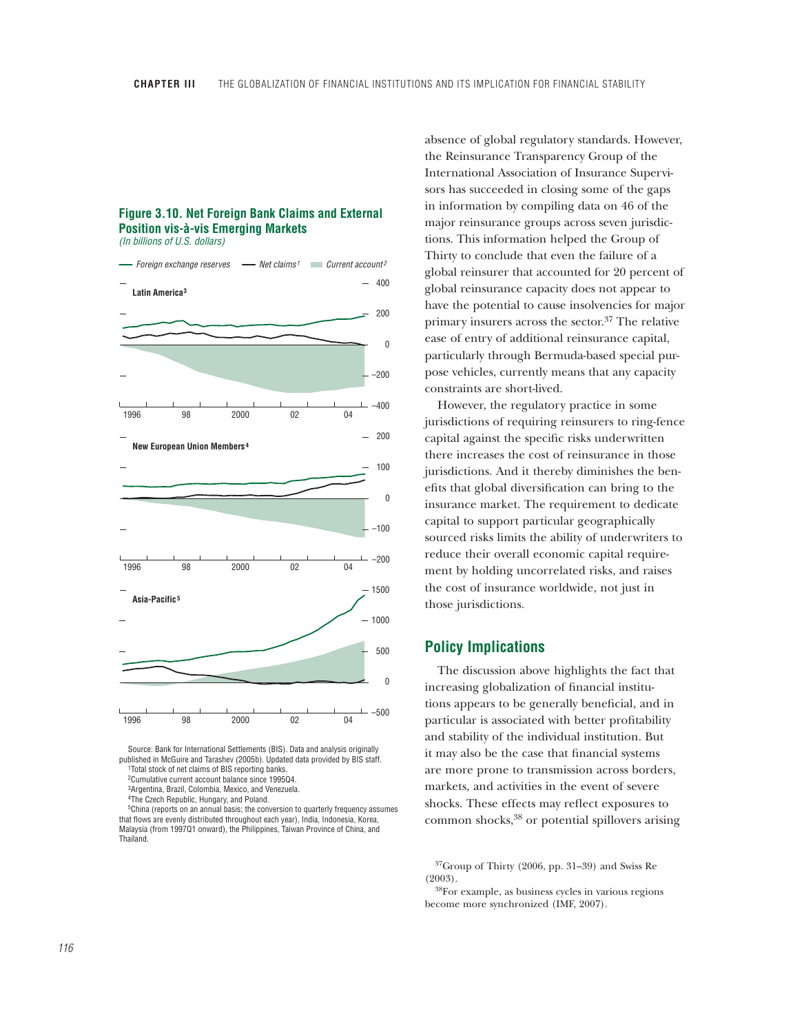# **Figure 3.10. Net Foreign Bank Claims and External Position vis-à-vis Emerging Markets**

(In billions of U.S. dollars)



Source: Bank for International Settlements (BIS). Data and analysis originally published in McGuire and Tarashev (2005b). Updated data provided by BIS staff. 1Total stock of net claims of BIS reporting banks.

2Cumulative current account balance since 1995Q4.

3Argentina, Brazil, Colombia, Mexico, and Venezuela.

4The Czech Republic, Hungary, and Poland.

5China (reports on an annual basis; the conversion to quarterly frequency assumes that flows are evenly distributed throughout each year), India, Indonesia, Korea, Malaysia (from 1997Q1 onward), the Philippines, Taiwan Province of China, and **Thailand** 

absence of global regulatory standards. However, the Reinsurance Transparency Group of the International Association of Insurance Supervisors has succeeded in closing some of the gaps in information by compiling data on 46 of the major reinsurance groups across seven jurisdictions. This information helped the Group of Thirty to conclude that even the failure of a global reinsurer that accounted for 20 percent of global reinsurance capacity does not appear to have the potential to cause insolvencies for major primary insurers across the sector.37 The relative ease of entry of additional reinsurance capital, particularly through Bermuda-based special purpose vehicles, currently means that any capacity constraints are short-lived.

However, the regulatory practice in some jurisdictions of requiring reinsurers to ring-fence capital against the specific risks underwritten there increases the cost of reinsurance in those jurisdictions. And it thereby diminishes the benefits that global diversification can bring to the insurance market. The requirement to dedicate capital to support particular geographically sourced risks limits the ability of underwriters to reduce their overall economic capital requirement by holding uncorrelated risks, and raises the cost of insurance worldwide, not just in those jurisdictions.

# **Policy Implications**

The discussion above highlights the fact that increasing globalization of financial institutions appears to be generally beneficial, and in particular is associated with better profitability and stability of the individual institution. But it may also be the case that financial systems are more prone to transmission across borders, markets, and activities in the event of severe shocks. These effects may reflect exposures to common shocks,38 or potential spillovers arising

38For example, as business cycles in various regions become more synchronized (IMF, 2007).

<sup>37</sup>Group of Thirty (2006, pp. 31–39) and Swiss Re (2003).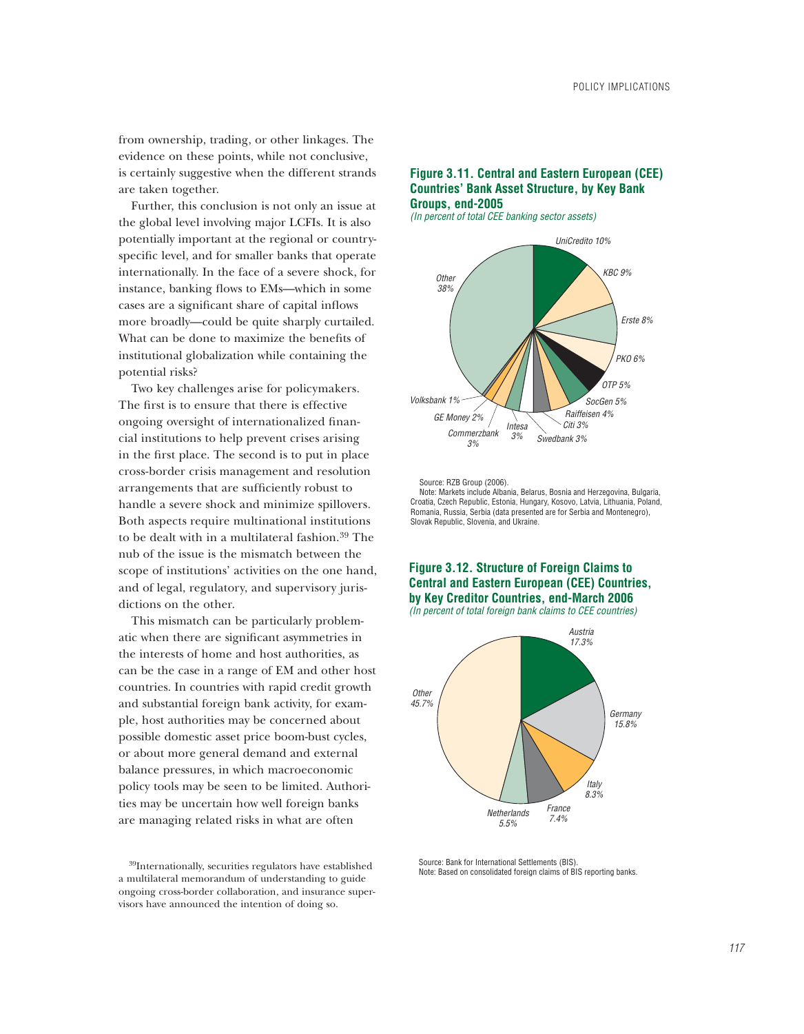from ownership, trading, or other linkages. The evidence on these points, while not conclusive, is certainly suggestive when the different strands are taken together.

Further, this conclusion is not only an issue at the global level involving major LCFIs. It is also potentially important at the regional or countryspecific level, and for smaller banks that operate internationally. In the face of a severe shock, for instance, banking flows to EMs—which in some cases are a significant share of capital inflows more broadly—could be quite sharply curtailed. What can be done to maximize the benefits of institutional globalization while containing the potential risks?

Two key challenges arise for policymakers. The first is to ensure that there is effective ongoing oversight of internationalized financial institutions to help prevent crises arising in the first place. The second is to put in place cross-border crisis management and resolution arrangements that are sufficiently robust to handle a severe shock and minimize spillovers. Both aspects require multinational institutions to be dealt with in a multilateral fashion.39 The nub of the issue is the mismatch between the scope of institutions' activities on the one hand, and of legal, regulatory, and supervisory jurisdictions on the other.

This mismatch can be particularly problematic when there are significant asymmetries in the interests of home and host authorities, as can be the case in a range of EM and other host countries. In countries with rapid credit growth and substantial foreign bank activity, for example, host authorities may be concerned about possible domestic asset price boom-bust cycles, or about more general demand and external balance pressures, in which macroeconomic policy tools may be seen to be limited. Authorities may be uncertain how well foreign banks are managing related risks in what are often

39Internationally, securities regulators have established a multilateral memorandum of understanding to guide ongoing cross-border collaboration, and insurance supervisors have announced the intention of doing so.

# **Figure 3.11. Central and Eastern European (CEE) Countries' Bank Asset Structure, by Key Bank Groups, end-2005**

(In percent of total CEE banking sector assets)



Source: RZB Group (2006).

Note: Markets include Albania, Belarus, Bosnia and Herzegovina, Bulgaria, Croatia, Czech Republic, Estonia, Hungary, Kosovo, Latvia, Lithuania, Poland, Romania, Russia, Serbia (data presented are for Serbia and Montenegro), Slovak Republic, Slovenia, and Ukraine.

**Figure 3.12. Structure of Foreign Claims to Central and Eastern European (CEE) Countries, by Key Creditor Countries, end-March 2006** (In percent of total foreign bank claims to CEE countries)



Source: Bank for International Settlements (BIS). Note: Based on consolidated foreign claims of BIS reporting banks.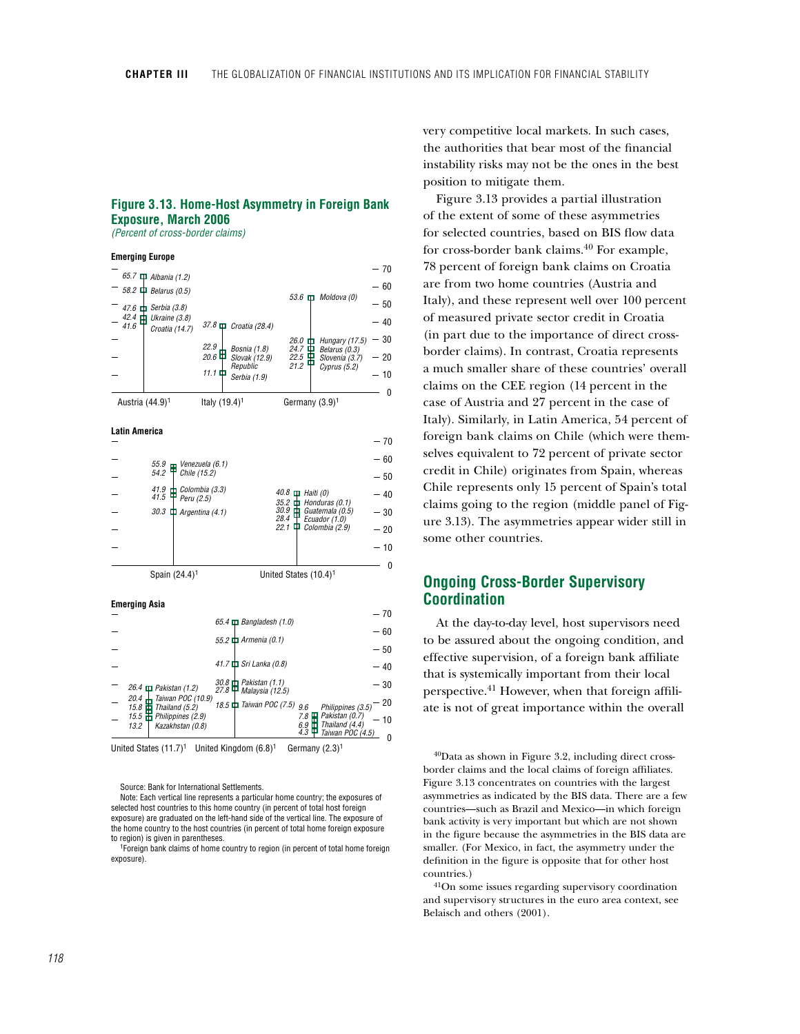# **Figure 3.13. Home-Host Asymmetry in Foreign Bank Exposure, March 2006**

*(Percent of cross-border claims)*

#### **Emerging Europe**



Austria (44.9)1

#### **Latin America**

| Luun Annviivu |                                                                |                                                                  |       |
|---------------|----------------------------------------------------------------|------------------------------------------------------------------|-------|
|               |                                                                |                                                                  | $-70$ |
|               | Venezuela (6.1)<br>55.9<br>œ                                   |                                                                  | $-60$ |
|               | 54.2 $\pm$ Chile (15.2)                                        |                                                                  | $-50$ |
|               | Colombia (3.3)<br>41.9<br>ш<br>41.5 $\mathbf{P}$<br>Peru (2.5) | 40.8 $\boldsymbol{\Box}$ Haiti (0)<br>35.2 $\Box$ Honduras (0.1) | - 40  |
|               | 30.3 $\Box$ Argentina (4.1)                                    | $30.9$ $\Box$ Guatemala $(0.5)$<br>28.4<br>Ecuador (1.0)         | $-30$ |
|               |                                                                | ш<br>Colombia (2.9)<br>22.1                                      | $-20$ |
|               |                                                                |                                                                  | $-10$ |
|               |                                                                |                                                                  | 0     |
|               | Snain (24.4) <sup>1</sup>                                      | United States (10.4) <sup>1</sup>                                |       |

Spain (24.4)1

#### **Emerging Asia**

|                                                                   |                              | $65.4 \square$ Bangladesh (1.0)                       | $-70$                                                                    |
|-------------------------------------------------------------------|------------------------------|-------------------------------------------------------|--------------------------------------------------------------------------|
|                                                                   |                              |                                                       | $-60$                                                                    |
|                                                                   |                              | 55.2 $\Box$ Armenia (0.1)                             | $-50$                                                                    |
|                                                                   |                              | 41.7 $\Box$ Sri Lanka (0.8)                           | - 40                                                                     |
| 26.4 Pakistan (1.2)                                               | $30.8 \text{ } \blacksquare$ | Pakistan (1.1)<br>27.8 $\mathbf \Psi$ Malaysia (12.5) | - 30                                                                     |
| Taiwan POC (10.9)<br>20.4<br>Thailand (5.2)<br>15.8<br>п          |                              | 18.5 <b>D</b> Taiwan POC (7.5)                        | -20<br>Philippines (3.5)<br>9.6                                          |
| Philippines (2.9)<br>$15.5 \text{ m}$<br>Kazakhstan (0.8)<br>13.2 |                              |                                                       | Pakistan (0.7)<br>$7.8\text{ }\mathsf{H}$<br>10<br>6.9<br>Thailand (4.4) |
|                                                                   |                              |                                                       | 4.3<br>Taiwan POC (4.5)<br>n                                             |

United States  $(11.7)^1$  United Kingdom  $(6.8)^1$  Germany  $(2.3)^1$ 

Source: Bank for International Settlements.

<sup>1</sup>Foreign bank claims of home country to region (in percent of total home foreign exposure).

very competitive local markets. In such cases, the authorities that bear most of the financial instability risks may not be the ones in the best position to mitigate them.

Figure 3.13 provides a partial illustration of the extent of some of these asymmetries for selected countries, based on BIS flow data for cross-border bank claims.40 For example, 78 percent of foreign bank claims on Croatia are from two home countries (Austria and Italy), and these represent well over 100 percent of measured private sector credit in Croatia (in part due to the importance of direct crossborder claims). In contrast, Croatia represents a much smaller share of these countries' overall claims on the CEE region (14 percent in the case of Austria and 27 percent in the case of Italy). Similarly, in Latin America, 54 percent of foreign bank claims on Chile (which were themselves equivalent to 72 percent of private sector credit in Chile) originates from Spain, whereas Chile represents only 15 percent of Spain's total claims going to the region (middle panel of Figure 3.13). The asymmetries appear wider still in some other countries.

# **Ongoing Cross-Border Supervisory Coordination**

At the day-to-day level, host supervisors need to be assured about the ongoing condition, and effective supervision, of a foreign bank affiliate that is systemically important from their local perspective.41 However, when that foreign affiliate is not of great importance within the overall

40Data as shown in Figure 3.2, including direct crossborder claims and the local claims of foreign affiliates. Figure 3.13 concentrates on countries with the largest asymmetries as indicated by the BIS data. There are a few countries—such as Brazil and Mexico—in which foreign bank activity is very important but which are not shown in the figure because the asymmetries in the BIS data are smaller. (For Mexico, in fact, the asymmetry under the definition in the figure is opposite that for other host countries.) 41On some issues regarding supervisory coordination

and supervisory structures in the euro area context, see Belaisch and others (2001).

Note: Each vertical line represents a particular home country; the exposures of selected host countries to this home country (in percent of total host foreign exposure) are graduated on the left-hand side of the vertical line. The exposure of the home country to the host countries (in percent of total home foreign exposure to region) is given in parentheses.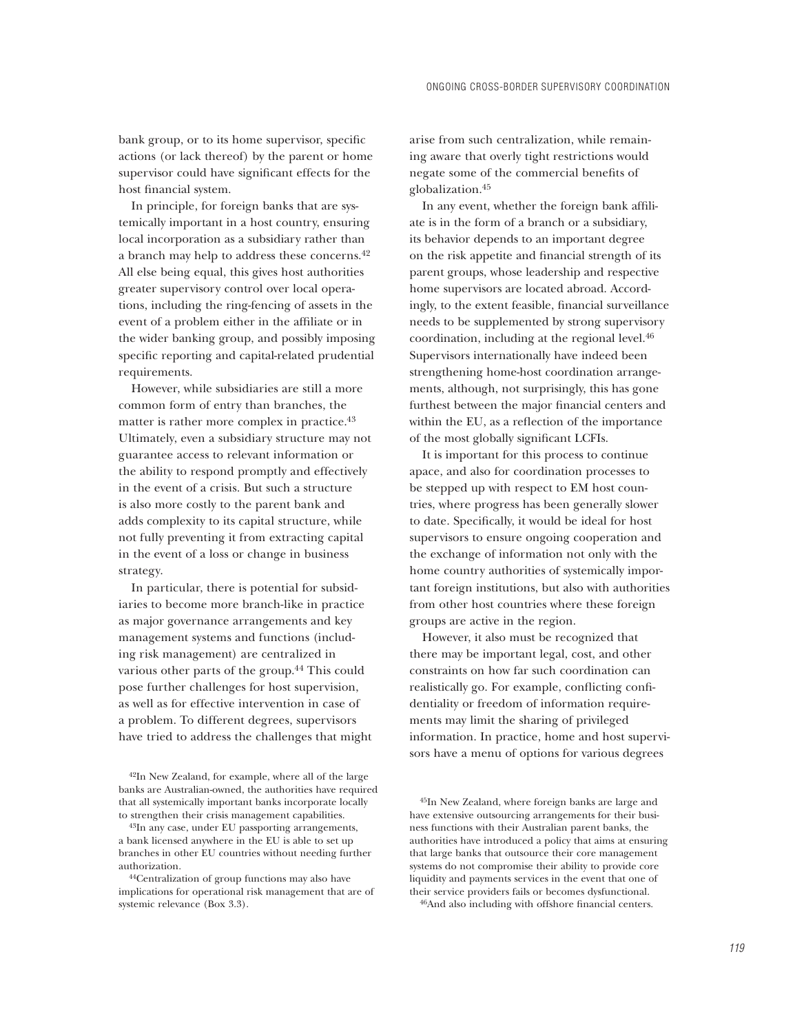bank group, or to its home supervisor, specific actions (or lack thereof) by the parent or home supervisor could have significant effects for the host financial system.

In principle, for foreign banks that are systemically important in a host country, ensuring local incorporation as a subsidiary rather than a branch may help to address these concerns.42 All else being equal, this gives host authorities greater supervisory control over local operations, including the ring-fencing of assets in the event of a problem either in the affiliate or in the wider banking group, and possibly imposing specific reporting and capital-related prudential requirements.

However, while subsidiaries are still a more common form of entry than branches, the matter is rather more complex in practice.<sup>43</sup> Ultimately, even a subsidiary structure may not guarantee access to relevant information or the ability to respond promptly and effectively in the event of a crisis. But such a structure is also more costly to the parent bank and adds complexity to its capital structure, while not fully preventing it from extracting capital in the event of a loss or change in business strategy.

In particular, there is potential for subsidiaries to become more branch-like in practice as major governance arrangements and key management systems and functions (including risk management) are centralized in various other parts of the group.<sup>44</sup> This could pose further challenges for host supervision, as well as for effective intervention in case of a problem. To different degrees, supervisors have tried to address the challenges that might arise from such centralization, while remaining aware that overly tight restrictions would negate some of the commercial benefits of globalization.45

In any event, whether the foreign bank affiliate is in the form of a branch or a subsidiary, its behavior depends to an important degree on the risk appetite and financial strength of its parent groups, whose leadership and respective home supervisors are located abroad. Accordingly, to the extent feasible, financial surveillance needs to be supplemented by strong supervisory coordination, including at the regional level.46 Supervisors internationally have indeed been strengthening home-host coordination arrangements, although, not surprisingly, this has gone furthest between the major financial centers and within the EU, as a reflection of the importance of the most globally significant LCFIs.

It is important for this process to continue apace, and also for coordination processes to be stepped up with respect to EM host countries, where progress has been generally slower to date. Specifically, it would be ideal for host supervisors to ensure ongoing cooperation and the exchange of information not only with the home country authorities of systemically important foreign institutions, but also with authorities from other host countries where these foreign groups are active in the region.

However, it also must be recognized that there may be important legal, cost, and other constraints on how far such coordination can realistically go. For example, conflicting confidentiality or freedom of information requirements may limit the sharing of privileged information. In practice, home and host supervisors have a menu of options for various degrees

<sup>42</sup>In New Zealand, for example, where all of the large banks are Australian-owned, the authorities have required that all systemically important banks incorporate locally to strengthen their crisis management capabilities.

<sup>43</sup>In any case, under EU passporting arrangements, a bank licensed anywhere in the EU is able to set up branches in other EU countries without needing further authorization.

<sup>44</sup>Centralization of group functions may also have implications for operational risk management that are of systemic relevance (Box 3.3).

<sup>45</sup>In New Zealand, where foreign banks are large and have extensive outsourcing arrangements for their business functions with their Australian parent banks, the authorities have introduced a policy that aims at ensuring that large banks that outsource their core management systems do not compromise their ability to provide core liquidity and payments services in the event that one of their service providers fails or becomes dysfunctional.

<sup>46</sup>And also including with offshore financial centers.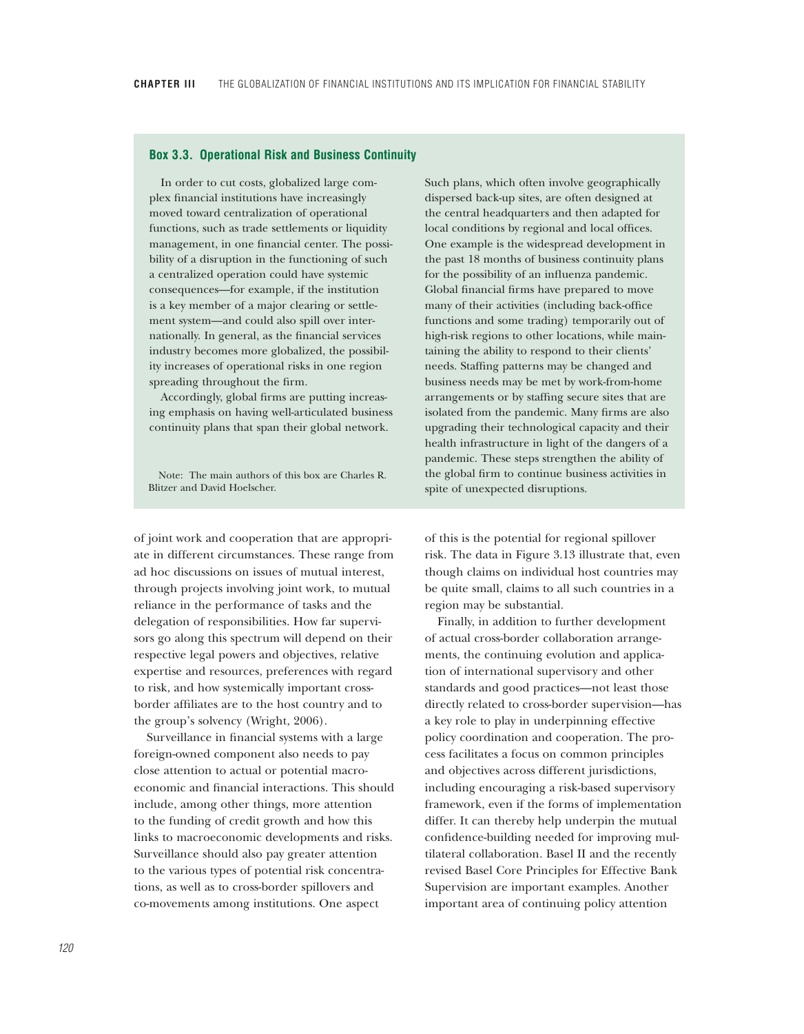### **Box 3.3. Operational Risk and Business Continuity**

In order to cut costs, globalized large complex financial institutions have increasingly moved toward centralization of operational functions, such as trade settlements or liquidity management, in one financial center. The possibility of a disruption in the functioning of such a centralized operation could have systemic consequences—for example, if the institution is a key member of a major clearing or settlement system—and could also spill over internationally. In general, as the financial services industry becomes more globalized, the possibility increases of operational risks in one region spreading throughout the firm.

Accordingly, global firms are putting increasing emphasis on having well-articulated business continuity plans that span their global network.

Note: The main authors of this box are Charles R. Blitzer and David Hoelscher.

of joint work and cooperation that are appropriate in different circumstances. These range from ad hoc discussions on issues of mutual interest, through projects involving joint work, to mutual reliance in the performance of tasks and the delegation of responsibilities. How far supervisors go along this spectrum will depend on their respective legal powers and objectives, relative expertise and resources, preferences with regard to risk, and how systemically important crossborder affiliates are to the host country and to the group's solvency (Wright, 2006).

Surveillance in financial systems with a large foreign-owned component also needs to pay close attention to actual or potential macroeconomic and financial interactions. This should include, among other things, more attention to the funding of credit growth and how this links to macroeconomic developments and risks. Surveillance should also pay greater attention to the various types of potential risk concentrations, as well as to cross-border spillovers and co-movements among institutions. One aspect

Such plans, which often involve geographically dispersed back-up sites, are often designed at the central headquarters and then adapted for local conditions by regional and local offices. One example is the widespread development in the past 18 months of business continuity plans for the possibility of an influenza pandemic. Global financial firms have prepared to move many of their activities (including back-office functions and some trading) temporarily out of high-risk regions to other locations, while maintaining the ability to respond to their clients' needs. Staffing patterns may be changed and business needs may be met by work-from-home arrangements or by staffing secure sites that are isolated from the pandemic. Many firms are also upgrading their technological capacity and their health infrastructure in light of the dangers of a pandemic. These steps strengthen the ability of the global firm to continue business activities in spite of unexpected disruptions.

of this is the potential for regional spillover risk. The data in Figure 3.13 illustrate that, even though claims on individual host countries may be quite small, claims to all such countries in a region may be substantial.

Finally, in addition to further development of actual cross-border collaboration arrangements, the continuing evolution and application of international supervisory and other standards and good practices—not least those directly related to cross-border supervision—has a key role to play in underpinning effective policy coordination and cooperation. The process facilitates a focus on common principles and objectives across different jurisdictions, including encouraging a risk-based supervisory framework, even if the forms of implementation differ. It can thereby help underpin the mutual confidence-building needed for improving multilateral collaboration. Basel II and the recently revised Basel Core Principles for Effective Bank Supervision are important examples. Another important area of continuing policy attention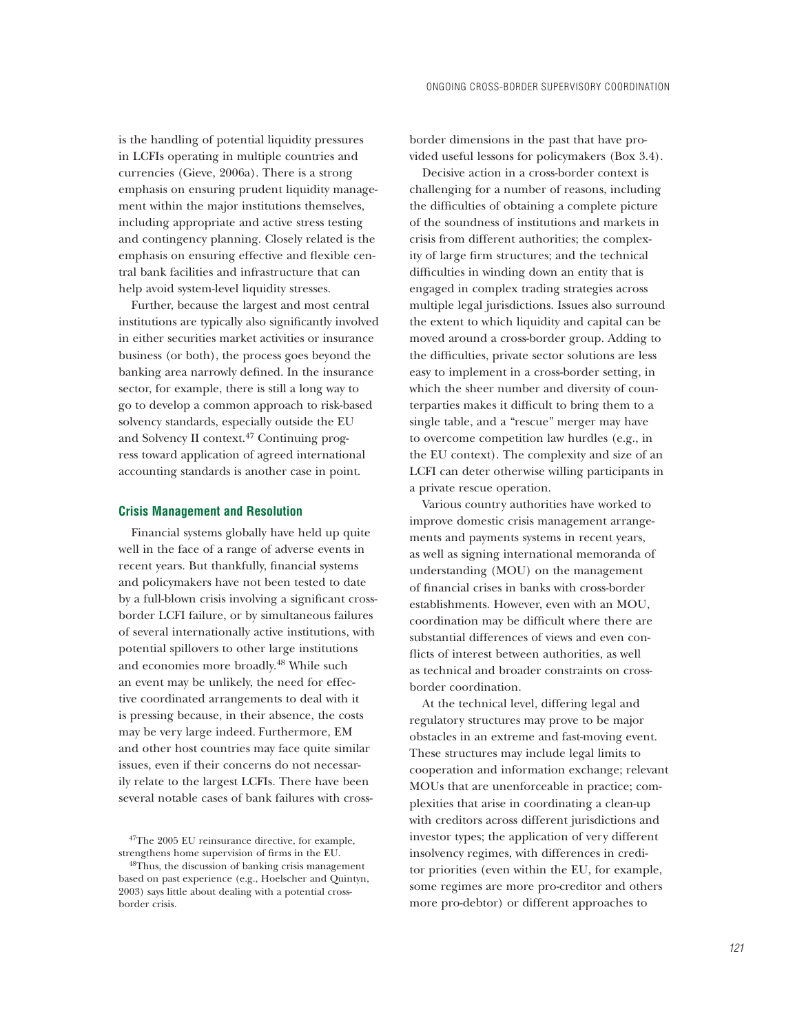is the handling of potential liquidity pressures in LCFIs operating in multiple countries and currencies (Gieve, 2006a). There is a strong emphasis on ensuring prudent liquidity management within the major institutions themselves, including appropriate and active stress testing and contingency planning. Closely related is the emphasis on ensuring effective and flexible central bank facilities and infrastructure that can help avoid system-level liquidity stresses.

Further, because the largest and most central institutions are typically also significantly involved in either securities market activities or insurance business (or both), the process goes beyond the banking area narrowly defined. In the insurance sector, for example, there is still a long way to go to develop a common approach to risk-based solvency standards, especially outside the EU and Solvency II context.47 Continuing progress toward application of agreed international accounting standards is another case in point.

## **Crisis Management and Resolution**

Financial systems globally have held up quite well in the face of a range of adverse events in recent years. But thankfully, financial systems and policymakers have not been tested to date by a full-blown crisis involving a significant crossborder LCFI failure, or by simultaneous failures of several internationally active institutions, with potential spillovers to other large institutions and economies more broadly.48 While such an event may be unlikely, the need for effective coordinated arrangements to deal with it is pressing because, in their absence, the costs may be very large indeed. Furthermore, EM and other host countries may face quite similar issues, even if their concerns do not necessarily relate to the largest LCFIs. There have been several notable cases of bank failures with crossborder dimensions in the past that have provided useful lessons for policymakers (Box 3.4).

Decisive action in a cross-border context is challenging for a number of reasons, including the difficulties of obtaining a complete picture of the soundness of institutions and markets in crisis from different authorities; the complexity of large firm structures; and the technical difficulties in winding down an entity that is engaged in complex trading strategies across multiple legal jurisdictions. Issues also surround the extent to which liquidity and capital can be moved around a cross-border group. Adding to the difficulties, private sector solutions are less easy to implement in a cross-border setting, in which the sheer number and diversity of counterparties makes it difficult to bring them to a single table, and a "rescue" merger may have to overcome competition law hurdles (e.g., in the EU context). The complexity and size of an LCFI can deter otherwise willing participants in a private rescue operation.

Various country authorities have worked to improve domestic crisis management arrangements and payments systems in recent years, as well as signing international memoranda of understanding (MOU) on the management of financial crises in banks with cross-border establishments. However, even with an MOU, coordination may be difficult where there are substantial differences of views and even conflicts of interest between authorities, as well as technical and broader constraints on crossborder coordination.

At the technical level, differing legal and regulatory structures may prove to be major obstacles in an extreme and fast-moving event. These structures may include legal limits to cooperation and information exchange; relevant MOUs that are unenforceable in practice; complexities that arise in coordinating a clean-up with creditors across different jurisdictions and investor types; the application of very different insolvency regimes, with differences in creditor priorities (even within the EU, for example, some regimes are more pro-creditor and others more pro-debtor) or different approaches to

<sup>47</sup>The 2005 EU reinsurance directive, for example, strengthens home supervision of firms in the EU.

<sup>48</sup>Thus, the discussion of banking crisis management based on past experience (e.g., Hoelscher and Quintyn, 2003) says little about dealing with a potential crossborder crisis.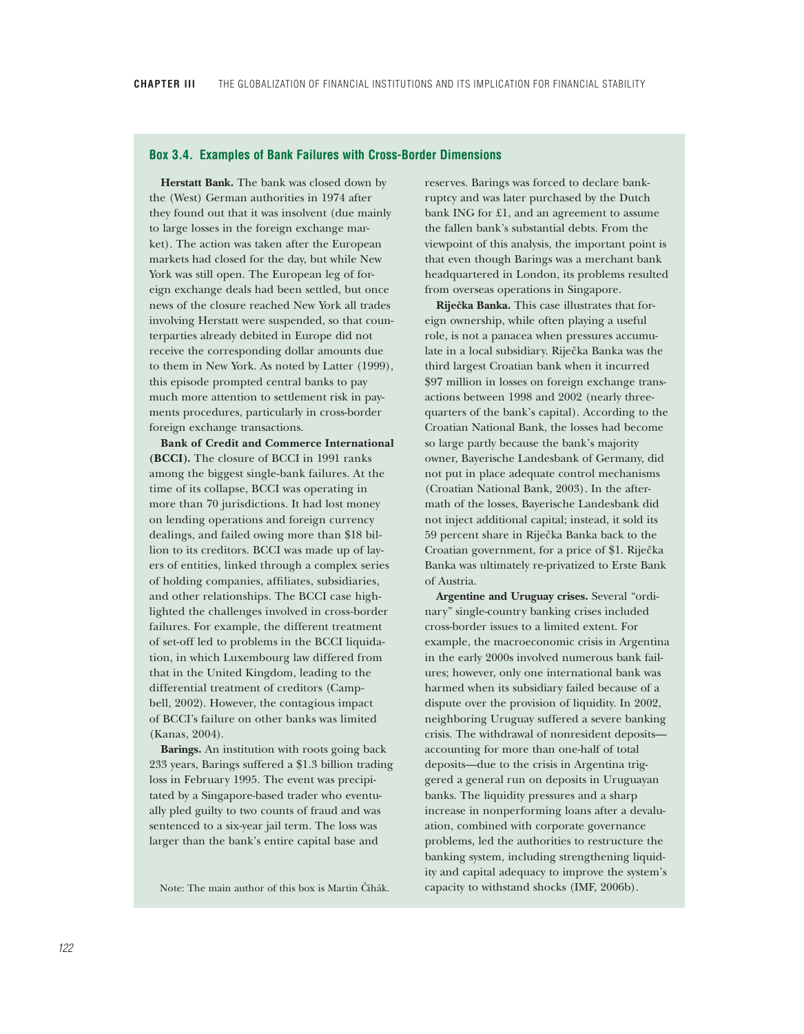#### **Box 3.4. Examples of Bank Failures with Cross-Border Dimensions**

**Herstatt Bank.** The bank was closed down by the (West) German authorities in 1974 after they found out that it was insolvent (due mainly to large losses in the foreign exchange market). The action was taken after the European markets had closed for the day, but while New York was still open. The European leg of foreign exchange deals had been settled, but once news of the closure reached New York all trades involving Herstatt were suspended, so that counterparties already debited in Europe did not receive the corresponding dollar amounts due to them in New York. As noted by Latter (1999), this episode prompted central banks to pay much more attention to settlement risk in payments procedures, particularly in cross-border foreign exchange transactions.

**Bank of Credit and Commerce International (BCCI).** The closure of BCCI in 1991 ranks among the biggest single-bank failures. At the time of its collapse, BCCI was operating in more than 70 jurisdictions. It had lost money on lending operations and foreign currency dealings, and failed owing more than \$18 billion to its creditors. BCCI was made up of layers of entities, linked through a complex series of holding companies, affiliates, subsidiaries, and other relationships. The BCCI case highlighted the challenges involved in cross-border failures. For example, the different treatment of set-off led to problems in the BCCI liquidation, in which Luxembourg law differed from that in the United Kingdom, leading to the differential treatment of creditors (Campbell, 2002). However, the contagious impact of BCCI's failure on other banks was limited (Kanas, 2004).

**Barings.** An institution with roots going back 233 years, Barings suffered a \$1.3 billion trading loss in February 1995. The event was precipitated by a Singapore-based trader who eventually pled guilty to two counts of fraud and was sentenced to a six-year jail term. The loss was larger than the bank's entire capital base and

Note: The main author of this box is Martin Čihák.

reserves. Barings was forced to declare bankruptcy and was later purchased by the Dutch bank ING for £1, and an agreement to assume the fallen bank's substantial debts. From the viewpoint of this analysis, the important point is that even though Barings was a merchant bank headquartered in London, its problems resulted from overseas operations in Singapore.

**Riječka Banka.** This case illustrates that foreign ownership, while often playing a useful role, is not a panacea when pressures accumulate in a local subsidiary. Riječka Banka was the third largest Croatian bank when it incurred \$97 million in losses on foreign exchange transactions between 1998 and 2002 (nearly threequarters of the bank's capital). According to the Croatian National Bank, the losses had become so large partly because the bank's majority owner, Bayerische Landesbank of Germany, did not put in place adequate control mechanisms (Croatian National Bank, 2003). In the aftermath of the losses, Bayerische Landesbank did not inject additional capital; instead, it sold its 59 percent share in Riječka Banka back to the Croatian government, for a price of \$1. Riječka Banka was ultimately re-privatized to Erste Bank of Austria.

**Argentine and Uruguay crises.** Several "ordinary" single-country banking crises included cross-border issues to a limited extent. For example, the macroeconomic crisis in Argentina in the early 2000s involved numerous bank failures; however, only one international bank was harmed when its subsidiary failed because of a dispute over the provision of liquidity. In 2002, neighboring Uruguay suffered a severe banking crisis. The withdrawal of nonresident deposits accounting for more than one-half of total deposits—due to the crisis in Argentina triggered a general run on deposits in Uruguayan banks. The liquidity pressures and a sharp increase in nonperforming loans after a devaluation, combined with corporate governance problems, led the authorities to restructure the banking system, including strengthening liquidity and capital adequacy to improve the system's capacity to withstand shocks (IMF, 2006b).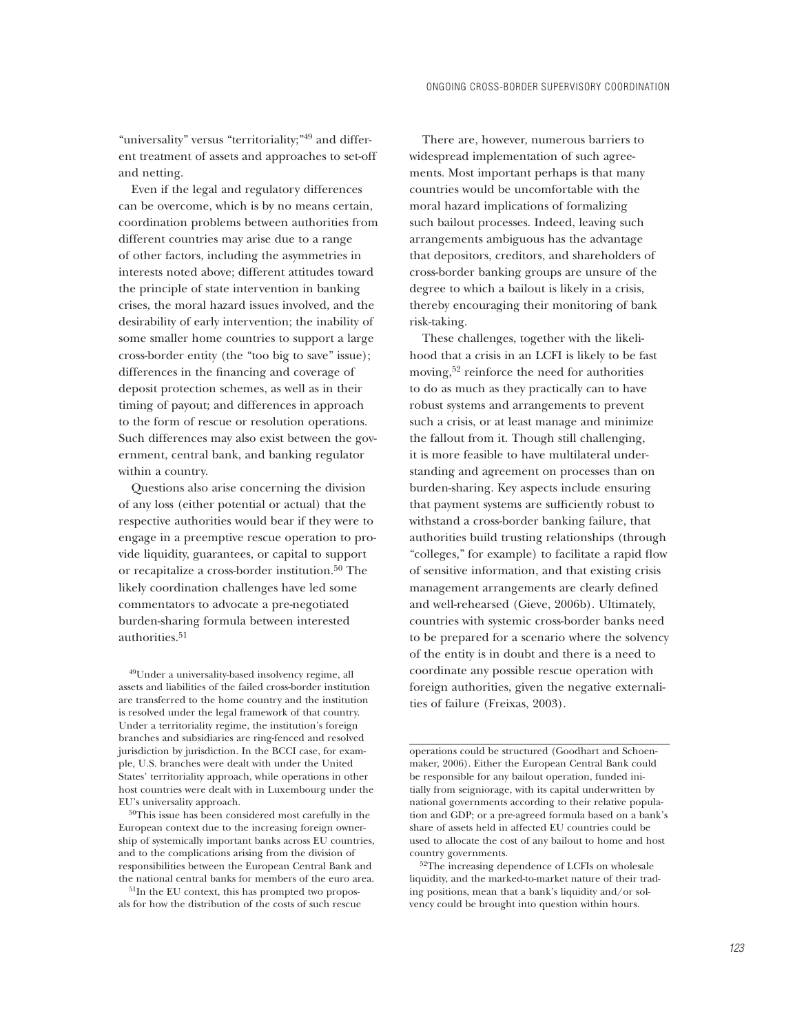"universality" versus "territoriality;"<sup>49</sup> and different treatment of assets and approaches to set-off and netting.

Even if the legal and regulatory differences can be overcome, which is by no means certain, coordination problems between authorities from different countries may arise due to a range of other factors, including the asymmetries in interests noted above; different attitudes toward the principle of state intervention in banking crises, the moral hazard issues involved, and the desirability of early intervention; the inability of some smaller home countries to support a large cross-border entity (the "too big to save" issue); differences in the financing and coverage of deposit protection schemes, as well as in their timing of payout; and differences in approach to the form of rescue or resolution operations. Such differences may also exist between the government, central bank, and banking regulator within a country.

Questions also arise concerning the division of any loss (either potential or actual) that the respective authorities would bear if they were to engage in a preemptive rescue operation to provide liquidity, guarantees, or capital to support or recapitalize a cross-border institution.<sup>50</sup> The likely coordination challenges have led some commentators to advocate a pre-negotiated burden-sharing formula between interested authorities.<sup>51</sup>

49Under a universality-based insolvency regime, all assets and liabilities of the failed cross-border institution are transferred to the home country and the institution is resolved under the legal framework of that country. Under a territoriality regime, the institution's foreign branches and subsidiaries are ring-fenced and resolved jurisdiction by jurisdiction. In the BCCI case, for example, U.S. branches were dealt with under the United States' territoriality approach, while operations in other host countries were dealt with in Luxembourg under the EU's universality approach.

 $^{50}\mathrm{This}$  issue has been considered most carefully in the European context due to the increasing foreign ownership of systemically important banks across EU countries, and to the complications arising from the division of responsibilities between the European Central Bank and the national central banks for members of the euro area.

51In the EU context, this has prompted two proposals for how the distribution of the costs of such rescue

There are, however, numerous barriers to widespread implementation of such agreements. Most important perhaps is that many countries would be uncomfortable with the moral hazard implications of formalizing such bailout processes. Indeed, leaving such arrangements ambiguous has the advantage that depositors, creditors, and shareholders of cross-border banking groups are unsure of the degree to which a bailout is likely in a crisis, thereby encouraging their monitoring of bank risk-taking.

These challenges, together with the likelihood that a crisis in an LCFI is likely to be fast moving,52 reinforce the need for authorities to do as much as they practically can to have robust systems and arrangements to prevent such a crisis, or at least manage and minimize the fallout from it. Though still challenging, it is more feasible to have multilateral understanding and agreement on processes than on burden-sharing. Key aspects include ensuring that payment systems are sufficiently robust to withstand a cross-border banking failure, that authorities build trusting relationships (through "colleges," for example) to facilitate a rapid flow of sensitive information, and that existing crisis management arrangements are clearly defined and well-rehearsed (Gieve, 2006b). Ultimately, countries with systemic cross-border banks need to be prepared for a scenario where the solvency of the entity is in doubt and there is a need to coordinate any possible rescue operation with foreign authorities, given the negative externalities of failure (Freixas, 2003).

operations could be structured (Goodhart and Schoenmaker, 2006). Either the European Central Bank could be responsible for any bailout operation, funded initially from seigniorage, with its capital underwritten by national governments according to their relative population and GDP; or a pre-agreed formula based on a bank's share of assets held in affected EU countries could be used to allocate the cost of any bailout to home and host country governments.

<sup>52</sup>The increasing dependence of LCFIs on wholesale liquidity, and the marked-to-market nature of their trading positions, mean that a bank's liquidity and/or solvency could be brought into question within hours.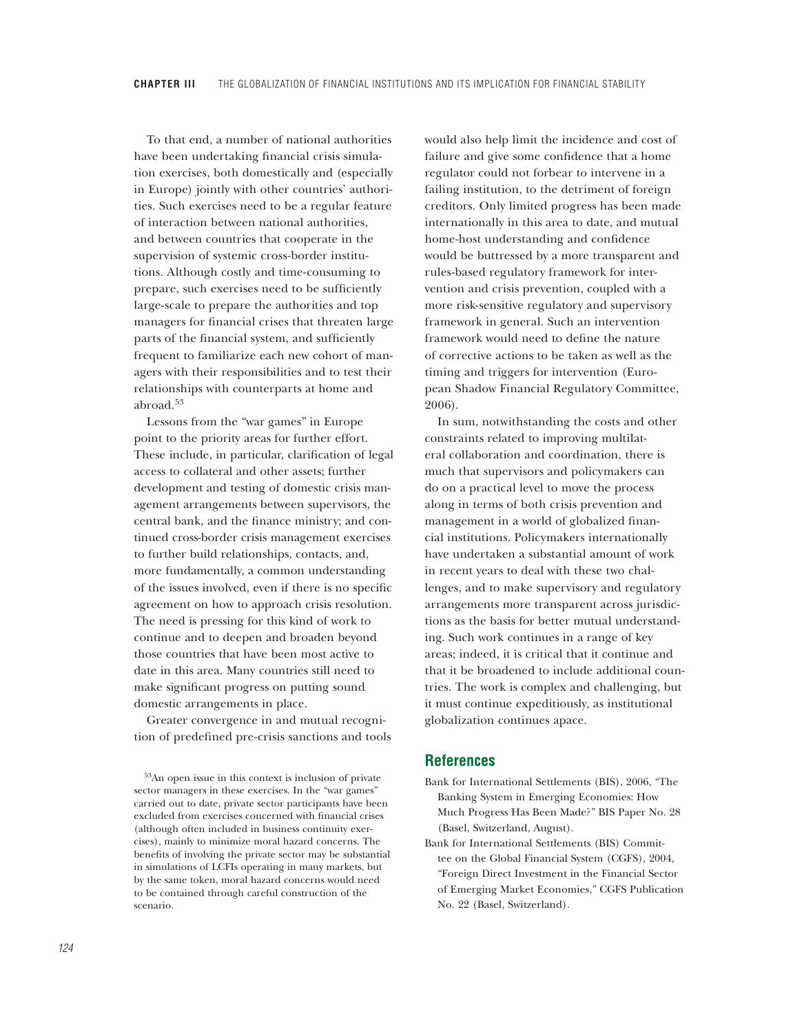To that end, a number of national authorities have been undertaking financial crisis simulation exercises, both domestically and (especially in Europe) jointly with other countries' authorities. Such exercises need to be a regular feature of interaction between national authorities, and between countries that cooperate in the supervision of systemic cross-border institutions. Although costly and time-consuming to prepare, such exercises need to be sufficiently large-scale to prepare the authorities and top managers for financial crises that threaten large parts of the financial system, and sufficiently frequent to familiarize each new cohort of managers with their responsibilities and to test their relationships with counterparts at home and abroad.53

Lessons from the "war games" in Europe point to the priority areas for further effort. These include, in particular, clarification of legal access to collateral and other assets; further development and testing of domestic crisis management arrangements between supervisors, the central bank, and the finance ministry; and continued cross-border crisis management exercises to further build relationships, contacts, and, more fundamentally, a common understanding of the issues involved, even if there is no specific agreement on how to approach crisis resolution. The need is pressing for this kind of work to continue and to deepen and broaden beyond those countries that have been most active to date in this area. Many countries still need to make significant progress on putting sound domestic arrangements in place.

Greater convergence in and mutual recognition of predefined pre-crisis sanctions and tools would also help limit the incidence and cost of failure and give some confidence that a home regulator could not forbear to intervene in a failing institution, to the detriment of foreign creditors. Only limited progress has been made internationally in this area to date, and mutual home-host understanding and confidence would be buttressed by a more transparent and rules-based regulatory framework for intervention and crisis prevention, coupled with a more risk-sensitive regulatory and supervisory framework in general. Such an intervention framework would need to define the nature of corrective actions to be taken as well as the timing and triggers for intervention (European Shadow Financial Regulatory Committee, 2006).

In sum, notwithstanding the costs and other constraints related to improving multilateral collaboration and coordination, there is much that supervisors and policymakers can do on a practical level to move the process along in terms of both crisis prevention and management in a world of globalized financial institutions. Policymakers internationally have undertaken a substantial amount of work in recent years to deal with these two challenges, and to make supervisory and regulatory arrangements more transparent across jurisdictions as the basis for better mutual understanding. Such work continues in a range of key areas; indeed, it is critical that it continue and that it be broadened to include additional countries. The work is complex and challenging, but it must continue expeditiously, as institutional globalization continues apace.

# **References**

- Bank for International Settlements (BIS), 2006, "The Banking System in Emerging Economies: How Much Progress Has Been Made?" BIS Paper No. 28 (Basel, Switzerland, August).
- Bank for International Settlements (BIS) Committee on the Global Financial System (CGFS), 2004, "Foreign Direct Investment in the Financial Sector of Emerging Market Economies," CGFS Publication No. 22 (Basel, Switzerland).

<sup>53</sup>An open issue in this context is inclusion of private sector managers in these exercises. In the "war games" carried out to date, private sector participants have been excluded from exercises concerned with financial crises (although often included in business continuity exercises), mainly to minimize moral hazard concerns. The benefits of involving the private sector may be substantial in simulations of LCFIs operating in many markets, but by the same token, moral hazard concerns would need to be contained through careful construction of the scenario.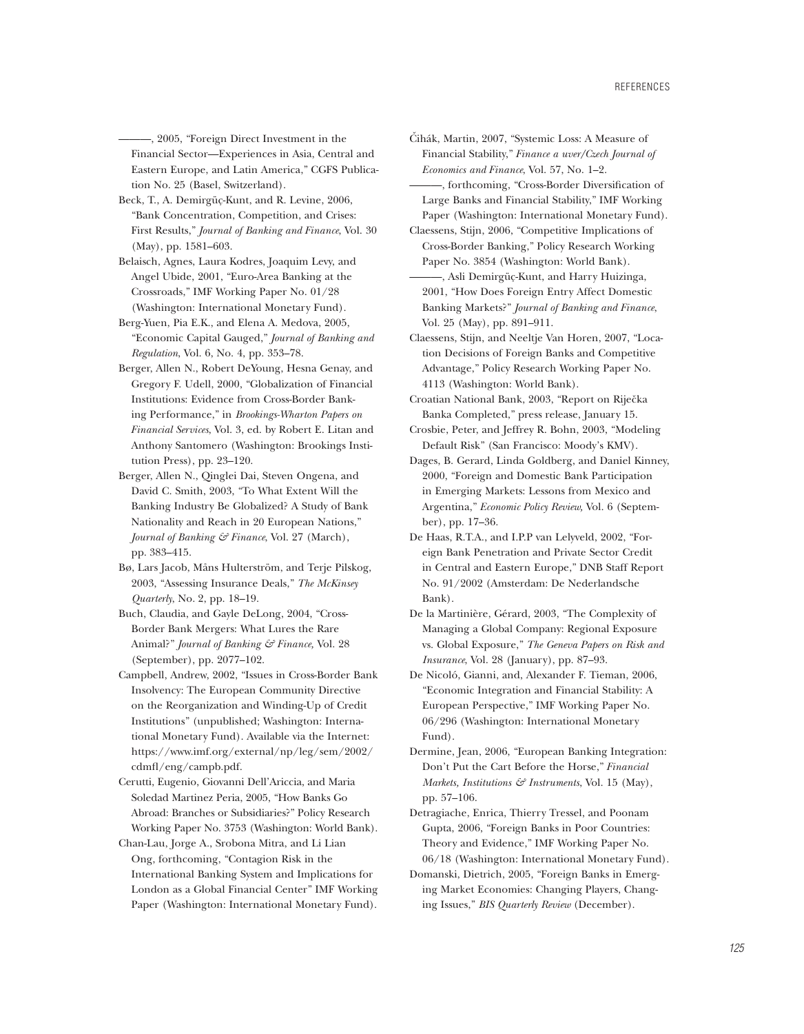———, 2005, "Foreign Direct Investment in the Financial Sector—Experiences in Asia, Central and Eastern Europe, and Latin America," CGFS Publication No. 25 (Basel, Switzerland).

Beck, T., A. Demirgüç-Kunt, and R. Levine, 2006, "Bank Concentration, Competition, and Crises: First Results," *Journal of Banking and Finance*, Vol. 30 (May), pp. 1581–603.

Belaisch, Agnes, Laura Kodres, Joaquim Levy, and Angel Ubide, 2001, "Euro-Area Banking at the Crossroads," IMF Working Paper No. 01/28 (Washington: International Monetary Fund).

Berg-Yuen, Pia E.K., and Elena A. Medova, 2005, "Economic Capital Gauged," *Journal of Banking and Regulation*, Vol. 6, No. 4, pp. 353–78.

- Berger, Allen N., Robert DeYoung, Hesna Genay, and Gregory F. Udell, 2000, "Globalization of Financial Institutions: Evidence from Cross-Border Banking Performance," in *Brookings-Wharton Papers on Financial Services*, Vol. 3, ed. by Robert E. Litan and Anthony Santomero (Washington: Brookings Institution Press), pp. 23–120.
- Berger, Allen N., Qinglei Dai, Steven Ongena, and David C. Smith, 2003, "To What Extent Will the Banking Industry Be Globalized? A Study of Bank Nationality and Reach in 20 European Nations," *Journal of Banking & Finance*, Vol. 27 (March), pp. 383–415.
- Bø, Lars Jacob, Måns Hulterström, and Terje Pilskog, 2003, "Assessing Insurance Deals," *The McKinsey Quarterly*, No. 2, pp. 18–19.
- Buch, Claudia, and Gayle DeLong, 2004, "Cross-Border Bank Mergers: What Lures the Rare Animal?" *Journal of Banking & Finance,* Vol. 28 (September), pp. 2077–102.
- Campbell, Andrew, 2002, "Issues in Cross-Border Bank Insolvency: The European Community Directive on the Reorganization and Winding-Up of Credit Institutions" (unpublished; Washington: International Monetary Fund). Available via the Internet: https://www.imf.org/external/np/leg/sem/2002/ cdmfl/eng/campb.pdf.

Cerutti, Eugenio, Giovanni Dell'Ariccia, and Maria Soledad Martinez Peria, 2005, "How Banks Go Abroad: Branches or Subsidiaries?" Policy Research Working Paper No. 3753 (Washington: World Bank).

Chan-Lau, Jorge A., Srobona Mitra, and Li Lian Ong, forthcoming, "Contagion Risk in the International Banking System and Implications for London as a Global Financial Center" IMF Working Paper (Washington: International Monetary Fund).

C*ˇ* ihák, Martin, 2007, "Systemic Loss: A Measure of Financial Stability," *Finance a uver/Czech Journal of Economics and Finance*, Vol. 57, No. 1–2.

———, forthcoming, "Cross-Border Diversification of Large Banks and Financial Stability," IMF Working Paper (Washington: International Monetary Fund).

- Claessens, Stijn, 2006, "Competitive Implications of Cross-Border Banking," Policy Research Working Paper No. 3854 (Washington: World Bank).
- ———, Asli Demirgüç-Kunt, and Harry Huizinga, 2001, "How Does Foreign Entry Affect Domestic Banking Markets?" *Journal of Banking and Finance*, Vol. 25 (May), pp. 891–911.
- Claessens, Stijn, and Neeltje Van Horen, 2007, "Location Decisions of Foreign Banks and Competitive Advantage," Policy Research Working Paper No. 4113 (Washington: World Bank).
- Croatian National Bank, 2003, "Report on Riječka Banka Completed," press release, January 15.

Crosbie, Peter, and Jeffrey R. Bohn, 2003, "Modeling Default Risk" (San Francisco: Moody's KMV).

Dages, B. Gerard, Linda Goldberg, and Daniel Kinney, 2000, "Foreign and Domestic Bank Participation in Emerging Markets: Lessons from Mexico and Argentina," *Economic Policy Review,* Vol. 6 (September), pp. 17–36.

- De Haas, R.T.A., and I.P.P van Lelyveld, 2002, "Foreign Bank Penetration and Private Sector Credit in Central and Eastern Europe," DNB Staff Report No. 91/2002 (Amsterdam: De Nederlandsche Bank).
- De la Martinière, Gérard, 2003, "The Complexity of Managing a Global Company: Regional Exposure vs. Global Exposure," *The Geneva Papers on Risk and Insurance*, Vol. 28 (January), pp. 87–93.

De Nicoló, Gianni, and, Alexander F. Tieman, 2006, "Economic Integration and Financial Stability: A European Perspective," IMF Working Paper No. 06/296 (Washington: International Monetary Fund).

Dermine, Jean, 2006, "European Banking Integration: Don't Put the Cart Before the Horse," *Financial Markets, Institutions & Instruments*, Vol. 15 (May), pp. 57–106.

Detragiache, Enrica, Thierry Tressel, and Poonam Gupta, 2006, "Foreign Banks in Poor Countries: Theory and Evidence," IMF Working Paper No. 06/18 (Washington: International Monetary Fund).

Domanski, Dietrich, 2005, "Foreign Banks in Emerging Market Economies: Changing Players, Changing Issues," *BIS Quarterly Review* (December).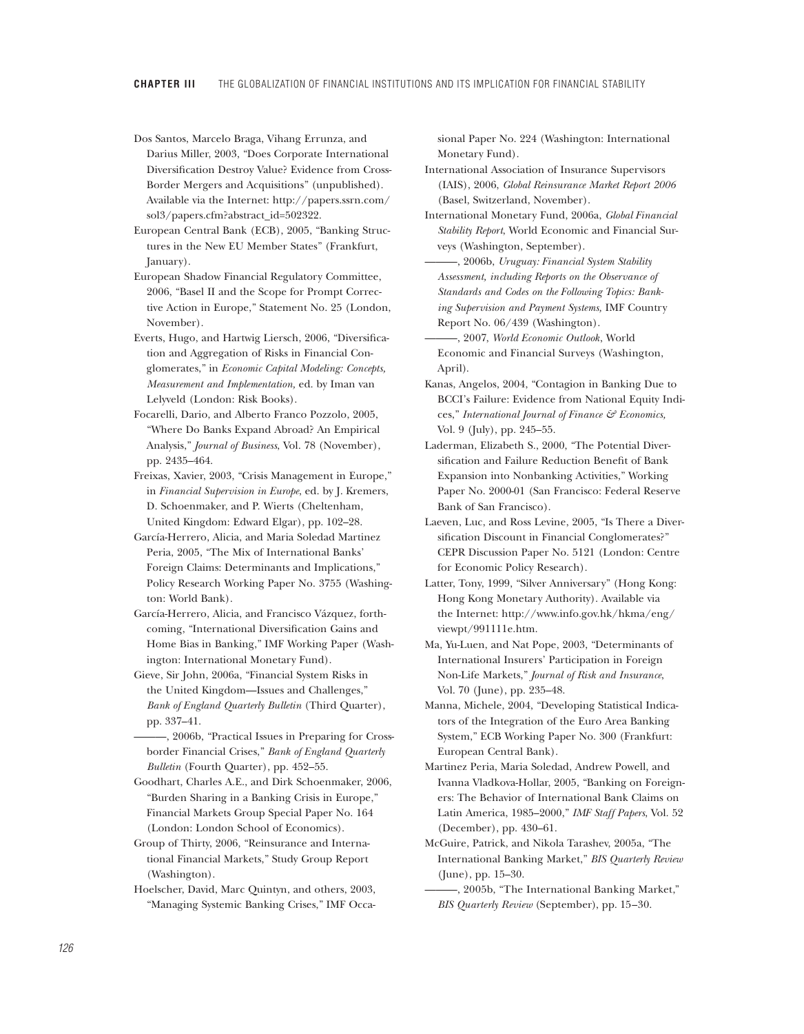Dos Santos, Marcelo Braga, Vihang Errunza, and Darius Miller, 2003, "Does Corporate International Diversification Destroy Value? Evidence from Cross-Border Mergers and Acquisitions" (unpublished). Available via the Internet: http://papers.ssrn.com/ sol3/papers.cfm?abstract\_id=502322.

European Central Bank (ECB), 2005, "Banking Structures in the New EU Member States" (Frankfurt, January).

- European Shadow Financial Regulatory Committee, 2006, "Basel II and the Scope for Prompt Corrective Action in Europe," Statement No. 25 (London, November).
- Everts, Hugo, and Hartwig Liersch, 2006, "Diversification and Aggregation of Risks in Financial Conglomerates," in *Economic Capital Modeling: Concepts, Measurement and Implementation,* ed. by Iman van Lelyveld (London: Risk Books).
- Focarelli, Dario, and Alberto Franco Pozzolo, 2005, "Where Do Banks Expand Abroad? An Empirical Analysis," *Journal of Business*, Vol. 78 (November), pp. 2435–464.
- Freixas, Xavier, 2003, "Crisis Management in Europe," in *Financial Supervision in Europe*, ed. by J. Kremers, D. Schoenmaker, and P. Wierts (Cheltenham, United Kingdom: Edward Elgar), pp. 102–28.
- García-Herrero, Alicia, and Maria Soledad Martinez Peria, 2005, "The Mix of International Banks' Foreign Claims: Determinants and Implications," Policy Research Working Paper No. 3755 (Washington: World Bank).
- García-Herrero, Alicia, and Francisco Vázquez, forthcoming, "International Diversification Gains and Home Bias in Banking," IMF Working Paper (Washington: International Monetary Fund).

Gieve, Sir John, 2006a, "Financial System Risks in the United Kingdom—Issues and Challenges," *Bank of England Quarterly Bulletin* (Third Quarter), pp. 337–41.

———, 2006b, "Practical Issues in Preparing for Crossborder Financial Crises," *Bank of England Quarterly Bulletin* (Fourth Quarter), pp. 452–55.

Goodhart, Charles A.E., and Dirk Schoenmaker, 2006, "Burden Sharing in a Banking Crisis in Europe," Financial Markets Group Special Paper No. 164 (London: London School of Economics).

Group of Thirty, 2006, "Reinsurance and International Financial Markets," Study Group Report (Washington).

Hoelscher, David, Marc Quintyn, and others, 2003, "Managing Systemic Banking Crises," IMF Occasional Paper No. 224 (Washington: International Monetary Fund).

- International Association of Insurance Supervisors (IAIS), 2006, *Global Reinsurance Market Report 2006* (Basel, Switzerland, November).
- International Monetary Fund, 2006a, *Global Financial Stability Report*, World Economic and Financial Surveys (Washington, September).

———, 2006b, *Uruguay: Financial System Stability Assessment, including Reports on the Observance of Standards and Codes on the Following Topics: Banking Supervision and Payment Systems,* IMF Country Report No. 06/439 (Washington).

———, 2007, *World Economic Outlook*, World Economic and Financial Surveys (Washington, April).

- Kanas, Angelos, 2004, "Contagion in Banking Due to BCCI's Failure: Evidence from National Equity Indices," *International Journal of Finance & Economics,*  Vol. 9 (July), pp. 245–55.
- Laderman, Elizabeth S., 2000, "The Potential Diversification and Failure Reduction Benefit of Bank Expansion into Nonbanking Activities," Working Paper No. 2000-01 (San Francisco: Federal Reserve Bank of San Francisco).
- Laeven, Luc, and Ross Levine, 2005, "Is There a Diversification Discount in Financial Conglomerates?" CEPR Discussion Paper No. 5121 (London: Centre for Economic Policy Research).
- Latter, Tony, 1999, "Silver Anniversary" (Hong Kong: Hong Kong Monetary Authority). Available via the Internet: http://www.info.gov.hk/hkma/eng/ viewpt/991111e.htm.
- Ma, Yu-Luen, and Nat Pope, 2003, "Determinants of International Insurers' Participation in Foreign Non-Life Markets," *Journal of Risk and Insurance*, Vol. 70 (June), pp. 235–48.
- Manna, Michele, 2004, "Developing Statistical Indicators of the Integration of the Euro Area Banking System," ECB Working Paper No. 300 (Frankfurt: European Central Bank).
- Martinez Peria, Maria Soledad, Andrew Powell, and Ivanna Vladkova-Hollar, 2005, "Banking on Foreigners: The Behavior of International Bank Claims on Latin America, 1985–2000," *IMF Staff Papers*, Vol. 52 (December), pp. 430–61.
- McGuire, Patrick, and Nikola Tarashev, 2005a, "The International Banking Market," *BIS Quarterly Review* (June), pp. 15–30.

———, 2005b, "The International Banking Market," *BIS Quarterly Review* (September), pp. 15–30.